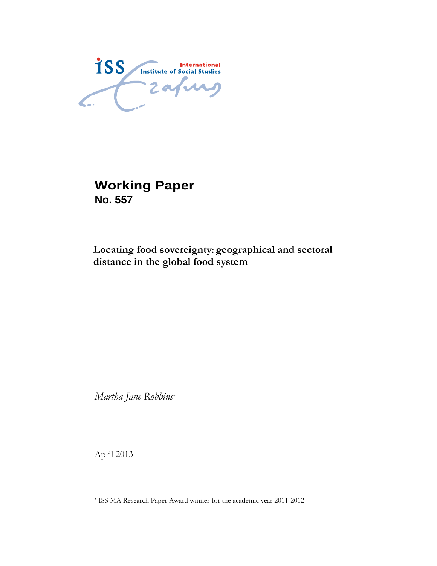ISS Institute of Social Studies

**Working Paper No. 557** 

## **Locating food sovereignty: geographical and sectoral distance in the global food system**

*Martha Jane Robbins\**

April 2013

 $\overline{a}$ 

<sup>\*</sup> ISS MA Research Paper Award winner for the academic year 2011-2012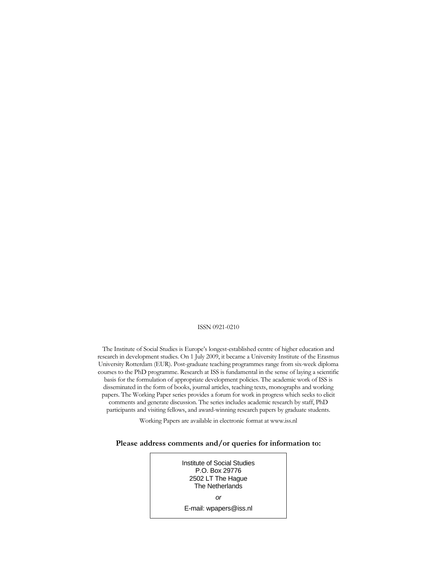#### ISSN 0921-0210

The Institute of Social Studies is Europe's longest-established centre of higher education and research in development studies. On 1 July 2009, it became a University Institute of the Erasmus University Rotterdam (EUR). Post-graduate teaching programmes range from six-week diploma courses to the PhD programme. Research at ISS is fundamental in the sense of laying a scientific basis for the formulation of appropriate development policies. The academic work of ISS is disseminated in the form of books, journal articles, teaching texts, monographs and working papers. The Working Paper series provides a forum for work in progress which seeks to elicit comments and generate discussion. The series includes academic research by staff, PhD participants and visiting fellows, and award-winning research papers by graduate students.

Working Papers are available in electronic format at www.iss.nl

#### **Please address comments and/or queries for information to:**

Institute of Social Studies P.O. Box 29776 2502 LT The Hague The Netherlands *or*  E-mail: wpapers@iss.nl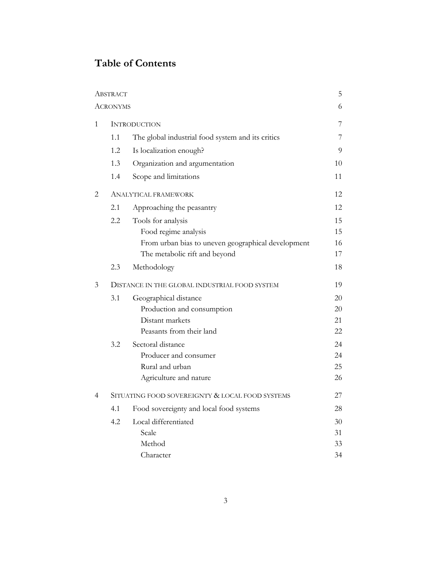# **Table of Contents**

|   | ABSTRACT                                        |                                                    | 5  |
|---|-------------------------------------------------|----------------------------------------------------|----|
|   | ACRONYMS                                        |                                                    | 6  |
| 1 | <b>INTRODUCTION</b>                             |                                                    | 7  |
|   | 1.1                                             | The global industrial food system and its critics  | 7  |
|   | 1.2                                             | Is localization enough?                            | 9  |
|   | 1.3                                             | Organization and argumentation                     | 10 |
|   | 1.4                                             | Scope and limitations                              | 11 |
| 2 | ANALYTICAL FRAMEWORK                            |                                                    | 12 |
|   | 2.1                                             | Approaching the peasantry                          | 12 |
|   | 2.2                                             | Tools for analysis                                 | 15 |
|   |                                                 | Food regime analysis                               | 15 |
|   |                                                 | From urban bias to uneven geographical development | 16 |
|   |                                                 | The metabolic rift and beyond                      | 17 |
|   | 2.3                                             | Methodology                                        | 18 |
| 3 | DISTANCE IN THE GLOBAL INDUSTRIAL FOOD SYSTEM   |                                                    |    |
|   | 3.1                                             | Geographical distance                              | 20 |
|   |                                                 | Production and consumption                         | 20 |
|   |                                                 | Distant markets                                    | 21 |
|   |                                                 | Peasants from their land                           | 22 |
|   | 3.2                                             | Sectoral distance                                  | 24 |
|   |                                                 | Producer and consumer                              | 24 |
|   |                                                 | Rural and urban                                    | 25 |
|   |                                                 | Agriculture and nature                             | 26 |
| 4 | SITUATING FOOD SOVEREIGNTY & LOCAL FOOD SYSTEMS |                                                    |    |
|   | 4.1                                             | Food sovereignty and local food systems            | 28 |
|   | 4.2                                             | Local differentiated                               | 30 |
|   |                                                 | Scale                                              | 31 |
|   |                                                 | Method                                             | 33 |
|   |                                                 | Character                                          | 34 |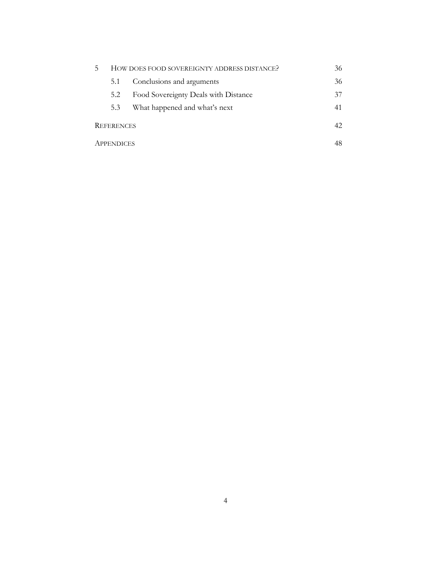|                   | HOW DOES FOOD SOVEREIGNTY ADDRESS DISTANCE? | 36                            |    |
|-------------------|---------------------------------------------|-------------------------------|----|
|                   | 5.1                                         | Conclusions and arguments     | 36 |
|                   | Food Sovereignty Deals with Distance<br>5.2 |                               | 37 |
|                   | 5.3                                         | What happened and what's next | 41 |
| <b>REFERENCES</b> |                                             | 42                            |    |
| <b>APPENDICES</b> |                                             |                               | 48 |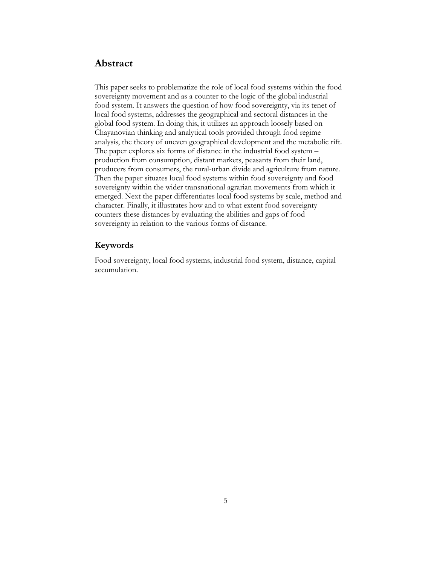## **Abstract**

This paper seeks to problematize the role of local food systems within the food sovereignty movement and as a counter to the logic of the global industrial food system. It answers the question of how food sovereignty, via its tenet of local food systems, addresses the geographical and sectoral distances in the global food system. In doing this, it utilizes an approach loosely based on Chayanovian thinking and analytical tools provided through food regime analysis, the theory of uneven geographical development and the metabolic rift. The paper explores six forms of distance in the industrial food system – production from consumption, distant markets, peasants from their land, producers from consumers, the rural-urban divide and agriculture from nature. Then the paper situates local food systems within food sovereignty and food sovereignty within the wider transnational agrarian movements from which it emerged. Next the paper differentiates local food systems by scale, method and character. Finally, it illustrates how and to what extent food sovereignty counters these distances by evaluating the abilities and gaps of food sovereignty in relation to the various forms of distance.

## **Keywords**

Food sovereignty, local food systems, industrial food system, distance, capital accumulation.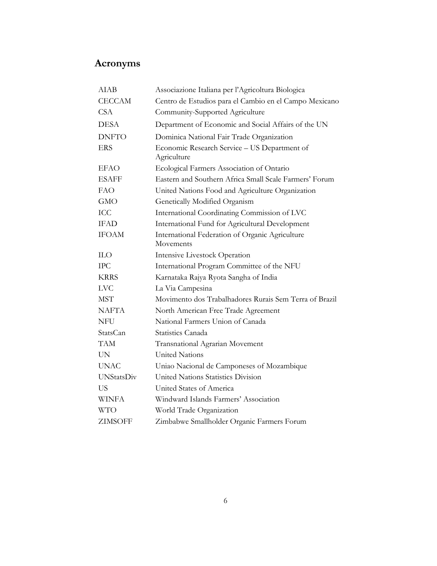# **Acronyms**

| <b>AIAB</b>       | Associazione Italiana per l'Agricoltura Biologica            |
|-------------------|--------------------------------------------------------------|
| <b>CECCAM</b>     | Centro de Estudios para el Cambio en el Campo Mexicano       |
| <b>CSA</b>        | Community-Supported Agriculture                              |
| <b>DESA</b>       | Department of Economic and Social Affairs of the UN          |
| <b>DNFTO</b>      | Dominica National Fair Trade Organization                    |
| <b>ERS</b>        | Economic Research Service - US Department of<br>Agriculture  |
| <b>EFAO</b>       | Ecological Farmers Association of Ontario                    |
| <b>ESAFF</b>      | Eastern and Southern Africa Small Scale Farmers' Forum       |
| <b>FAO</b>        | United Nations Food and Agriculture Organization             |
| <b>GMO</b>        | Genetically Modified Organism                                |
| <b>ICC</b>        | International Coordinating Commission of LVC                 |
| <b>IFAD</b>       | International Fund for Agricultural Development              |
| <b>IFOAM</b>      | International Federation of Organic Agriculture<br>Movements |
| <b>ILO</b>        | Intensive Livestock Operation                                |
| <b>IPC</b>        | International Program Committee of the NFU                   |
| <b>KRRS</b>       | Karnataka Rajya Ryota Sangha of India                        |
| <b>LVC</b>        | La Via Campesina                                             |
| <b>MST</b>        | Movimento dos Trabalhadores Rurais Sem Terra of Brazil       |
| NAFTA             | North American Free Trade Agreement                          |
| <b>NFU</b>        | National Farmers Union of Canada                             |
| StatsCan          | <b>Statistics Canada</b>                                     |
| <b>TAM</b>        | Transnational Agrarian Movement                              |
| <b>UN</b>         | <b>United Nations</b>                                        |
| <b>UNAC</b>       | Uniao Nacional de Camponeses of Mozambique                   |
| <b>UNStatsDiv</b> | United Nations Statistics Division                           |
| US                | United States of America                                     |
| <b>WINFA</b>      | Windward Islands Farmers' Association                        |
| <b>WTO</b>        | World Trade Organization                                     |
| <b>ZIMSOFF</b>    | Zimbabwe Smallholder Organic Farmers Forum                   |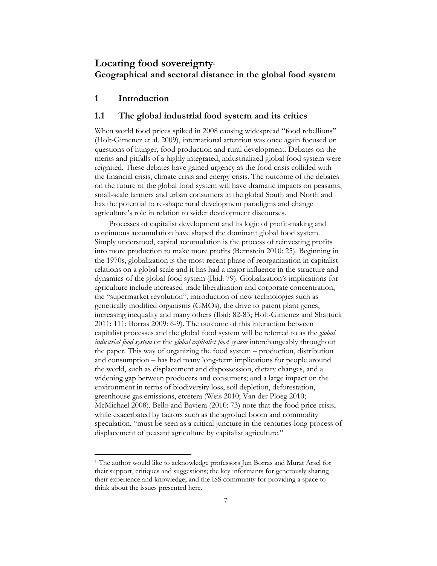## **Locating food sovereignty1 Geographical and sectoral distance in the global food system**

## **1 Introduction**

 $\ddot{\phantom{a}}$ 

#### **1.1 The global industrial food system and its critics**

When world food prices spiked in 2008 causing widespread "food rebellions" (Holt-Gimenez et al. 2009), international attention was once again focused on questions of hunger, food production and rural development. Debates on the merits and pitfalls of a highly integrated, industrialized global food system were reignited. These debates have gained urgency as the food crisis collided with the financial crisis, climate crisis and energy crisis. The outcome of the debates on the future of the global food system will have dramatic impacts on peasants, small-scale farmers and urban consumers in the global South and North and has the potential to re-shape rural development paradigms and change agriculture's role in relation to wider development discourses.

Processes of capitalist development and its logic of profit-making and continuous accumulation have shaped the dominant global food system. Simply understood, capital accumulation is the process of reinvesting profits into more production to make more profits (Bernstein 2010: 25). Beginning in the 1970s, globalization is the most recent phase of reorganization in capitalist relations on a global scale and it has had a major influence in the structure and dynamics of the global food system (Ibid: 79). Globalization's implications for agriculture include increased trade liberalization and corporate concentration, the "supermarket revolution", introduction of new technologies such as genetically modified organisms (GMOs), the drive to patent plant genes, increasing inequality and many others (Ibid: 82-83; Holt-Gimenez and Shattuck 2011: 111; Borras 2009: 6-9). The outcome of this interaction between capitalist processes and the global food system will be referred to as the *global industrial food system* or the *global capitalist food system* interchangeably throughout the paper. This way of organizing the food system – production, distribution and consumption – has had many long-term implications for people around the world, such as displacement and dispossession, dietary changes, and a widening gap between producers and consumers; and a large impact on the environment in terms of biodiversity loss, soil depletion, deforestation, greenhouse gas emissions, etcetera (Weis 2010; Van der Ploeg 2010; McMichael 2008). Bello and Baviera (2010: 73) note that the food price crisis, while exacerbated by factors such as the agrofuel boom and commodity speculation, "must be seen as a critical juncture in the centuries-long process of displacement of peasant agriculture by capitalist agriculture."

<sup>&</sup>lt;sup>1</sup> The author would like to acknowledge professors Jun Borras and Murat Arsel for their support, critiques and suggestions; the key informants for generously sharing their experience and knowledge; and the ISS community for providing a space to think about the issues presented here.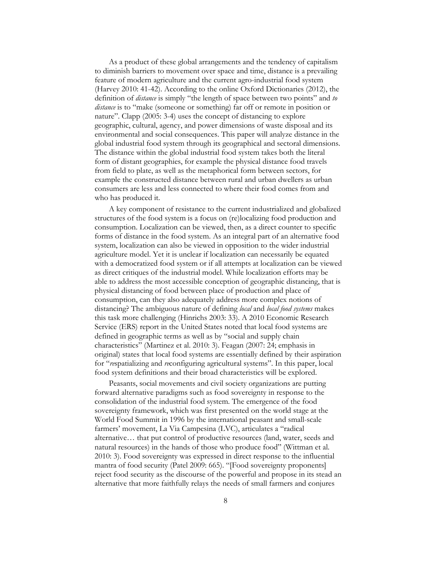As a product of these global arrangements and the tendency of capitalism to diminish barriers to movement over space and time, distance is a prevailing feature of modern agriculture and the current agro-industrial food system (Harvey 2010: 41-42). According to the online Oxford Dictionaries (2012), the definition of *distance* is simply "the length of space between two points" and *to distance* is to "make (someone or something) far off or remote in position or nature". Clapp (2005: 3-4) uses the concept of distancing to explore geographic, cultural, agency, and power dimensions of waste disposal and its environmental and social consequences. This paper will analyze distance in the global industrial food system through its geographical and sectoral dimensions. The distance within the global industrial food system takes both the literal form of distant geographies, for example the physical distance food travels from field to plate, as well as the metaphorical form between sectors, for example the constructed distance between rural and urban dwellers as urban consumers are less and less connected to where their food comes from and who has produced it.

A key component of resistance to the current industrialized and globalized structures of the food system is a focus on (re)localizing food production and consumption. Localization can be viewed, then, as a direct counter to specific forms of distance in the food system. As an integral part of an alternative food system, localization can also be viewed in opposition to the wider industrial agriculture model. Yet it is unclear if localization can necessarily be equated with a democratized food system or if all attempts at localization can be viewed as direct critiques of the industrial model. While localization efforts may be able to address the most accessible conception of geographic distancing, that is physical distancing of food between place of production and place of consumption, can they also adequately address more complex notions of distancing? The ambiguous nature of defining *local* and *local food systems* makes this task more challenging (Hinrichs 2003: 33). A 2010 Economic Research Service (ERS) report in the United States noted that local food systems are defined in geographic terms as well as by "social and supply chain characteristics" (Martinez et al. 2010: 3). Feagan (2007: 24; emphasis in original) states that local food systems are essentially defined by their aspiration for "*re*spatializing and *re*configuring agricultural systems". In this paper, local food system definitions and their broad characteristics will be explored.

Peasants, social movements and civil society organizations are putting forward alternative paradigms such as food sovereignty in response to the consolidation of the industrial food system. The emergence of the food sovereignty framework, which was first presented on the world stage at the World Food Summit in 1996 by the international peasant and small-scale farmers' movement, La Via Campesina (LVC), articulates a "radical alternative… that put control of productive resources (land, water, seeds and natural resources) in the hands of those who produce food" (Wittman et al. 2010: 3). Food sovereignty was expressed in direct response to the influential mantra of food security (Patel 2009: 665). "[Food sovereignty proponents] reject food security as the discourse of the powerful and propose in its stead an alternative that more faithfully relays the needs of small farmers and conjures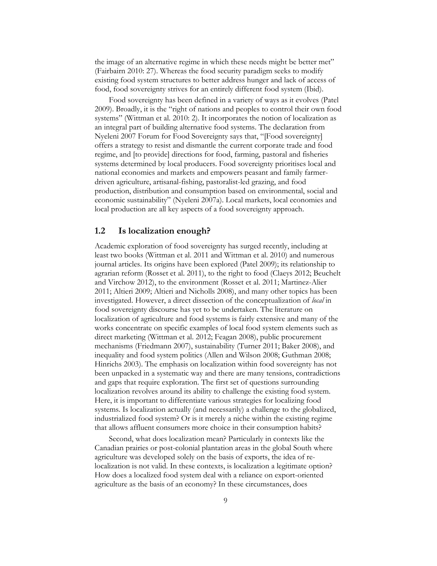the image of an alternative regime in which these needs might be better met" (Fairbairn 2010: 27). Whereas the food security paradigm seeks to modify existing food system structures to better address hunger and lack of access of food, food sovereignty strives for an entirely different food system (Ibid).

Food sovereignty has been defined in a variety of ways as it evolves (Patel 2009). Broadly, it is the "right of nations and peoples to control their own food systems" (Wittman et al. 2010: 2). It incorporates the notion of localization as an integral part of building alternative food systems. The declaration from Nyeleni 2007 Forum for Food Sovereignty says that, "[Food sovereignty] offers a strategy to resist and dismantle the current corporate trade and food regime, and [to provide] directions for food, farming, pastoral and fisheries systems determined by local producers. Food sovereignty prioritises local and national economies and markets and empowers peasant and family farmerdriven agriculture, artisanal-fishing, pastoralist-led grazing, and food production, distribution and consumption based on environmental, social and economic sustainability" (Nyeleni 2007a). Local markets, local economies and local production are all key aspects of a food sovereignty approach.

## **1.2 Is localization enough?**

Academic exploration of food sovereignty has surged recently, including at least two books (Wittman et al. 2011 and Wittman et al. 2010) and numerous journal articles. Its origins have been explored (Patel 2009); its relationship to agrarian reform (Rosset et al. 2011), to the right to food (Claeys 2012; Beuchelt and Virchow 2012), to the environment (Rosset et al. 2011; Martinez-Alier 2011; Altieri 2009; Altieri and Nicholls 2008), and many other topics has been investigated. However, a direct dissection of the conceptualization of *local* in food sovereignty discourse has yet to be undertaken. The literature on localization of agriculture and food systems is fairly extensive and many of the works concentrate on specific examples of local food system elements such as direct marketing (Wittman et al. 2012; Feagan 2008), public procurement mechanisms (Friedmann 2007), sustainability (Turner 2011; Baker 2008), and inequality and food system politics (Allen and Wilson 2008; Guthman 2008; Hinrichs 2003). The emphasis on localization within food sovereignty has not been unpacked in a systematic way and there are many tensions, contradictions and gaps that require exploration. The first set of questions surrounding localization revolves around its ability to challenge the existing food system. Here, it is important to differentiate various strategies for localizing food systems. Is localization actually (and necessarily) a challenge to the globalized, industrialized food system? Or is it merely a niche within the existing regime that allows affluent consumers more choice in their consumption habits?

Second, what does localization mean? Particularly in contexts like the Canadian prairies or post-colonial plantation areas in the global South where agriculture was developed solely on the basis of exports, the idea of relocalization is not valid. In these contexts, is localization a legitimate option? How does a localized food system deal with a reliance on export-oriented agriculture as the basis of an economy? In these circumstances, does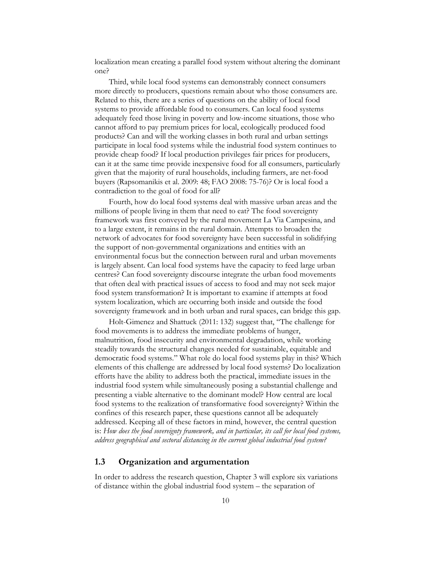localization mean creating a parallel food system without altering the dominant one?

Third, while local food systems can demonstrably connect consumers more directly to producers, questions remain about who those consumers are. Related to this, there are a series of questions on the ability of local food systems to provide affordable food to consumers. Can local food systems adequately feed those living in poverty and low-income situations, those who cannot afford to pay premium prices for local, ecologically produced food products? Can and will the working classes in both rural and urban settings participate in local food systems while the industrial food system continues to provide cheap food? If local production privileges fair prices for producers, can it at the same time provide inexpensive food for all consumers, particularly given that the majority of rural households, including farmers, are net-food buyers (Rapsomanikis et al. 2009: 48; FAO 2008: 75-76)? Or is local food a contradiction to the goal of food for all?

Fourth, how do local food systems deal with massive urban areas and the millions of people living in them that need to eat? The food sovereignty framework was first conveyed by the rural movement La Via Campesina, and to a large extent, it remains in the rural domain. Attempts to broaden the network of advocates for food sovereignty have been successful in solidifying the support of non-governmental organizations and entities with an environmental focus but the connection between rural and urban movements is largely absent. Can local food systems have the capacity to feed large urban centres? Can food sovereignty discourse integrate the urban food movements that often deal with practical issues of access to food and may not seek major food system transformation? It is important to examine if attempts at food system localization, which are occurring both inside and outside the food sovereignty framework and in both urban and rural spaces, can bridge this gap.

Holt-Gimenez and Shattuck (2011: 132) suggest that, "The challenge for food movements is to address the immediate problems of hunger, malnutrition, food insecurity and environmental degradation, while working steadily towards the structural changes needed for sustainable, equitable and democratic food systems." What role do local food systems play in this? Which elements of this challenge are addressed by local food systems? Do localization efforts have the ability to address both the practical, immediate issues in the industrial food system while simultaneously posing a substantial challenge and presenting a viable alternative to the dominant model? How central are local food systems to the realization of transformative food sovereignty? Within the confines of this research paper, these questions cannot all be adequately addressed. Keeping all of these factors in mind, however, the central question is: *How does the food sovereignty framework, and in particular, its call for local food systems, address geographical and sectoral distancing in the current global industrial food system?* 

#### **1.3 Organization and argumentation**

In order to address the research question, Chapter 3 will explore six variations of distance within the global industrial food system – the separation of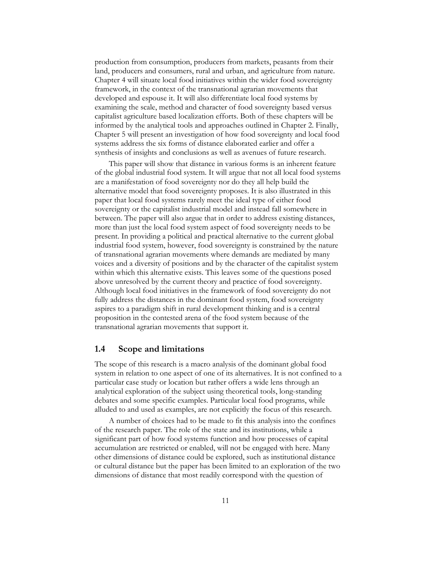production from consumption, producers from markets, peasants from their land, producers and consumers, rural and urban, and agriculture from nature. Chapter 4 will situate local food initiatives within the wider food sovereignty framework, in the context of the transnational agrarian movements that developed and espouse it. It will also differentiate local food systems by examining the scale, method and character of food sovereignty based versus capitalist agriculture based localization efforts. Both of these chapters will be informed by the analytical tools and approaches outlined in Chapter 2. Finally, Chapter 5 will present an investigation of how food sovereignty and local food systems address the six forms of distance elaborated earlier and offer a synthesis of insights and conclusions as well as avenues of future research.

This paper will show that distance in various forms is an inherent feature of the global industrial food system. It will argue that not all local food systems are a manifestation of food sovereignty nor do they all help build the alternative model that food sovereignty proposes. It is also illustrated in this paper that local food systems rarely meet the ideal type of either food sovereignty or the capitalist industrial model and instead fall somewhere in between. The paper will also argue that in order to address existing distances, more than just the local food system aspect of food sovereignty needs to be present. In providing a political and practical alternative to the current global industrial food system, however, food sovereignty is constrained by the nature of transnational agrarian movements where demands are mediated by many voices and a diversity of positions and by the character of the capitalist system within which this alternative exists. This leaves some of the questions posed above unresolved by the current theory and practice of food sovereignty. Although local food initiatives in the framework of food sovereignty do not fully address the distances in the dominant food system, food sovereignty aspires to a paradigm shift in rural development thinking and is a central proposition in the contested arena of the food system because of the transnational agrarian movements that support it.

#### **1.4 Scope and limitations**

The scope of this research is a macro analysis of the dominant global food system in relation to one aspect of one of its alternatives. It is not confined to a particular case study or location but rather offers a wide lens through an analytical exploration of the subject using theoretical tools, long-standing debates and some specific examples. Particular local food programs, while alluded to and used as examples, are not explicitly the focus of this research.

A number of choices had to be made to fit this analysis into the confines of the research paper. The role of the state and its institutions, while a significant part of how food systems function and how processes of capital accumulation are restricted or enabled, will not be engaged with here. Many other dimensions of distance could be explored, such as institutional distance or cultural distance but the paper has been limited to an exploration of the two dimensions of distance that most readily correspond with the question of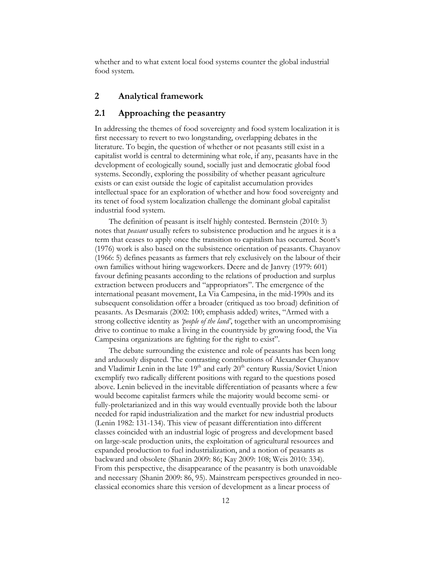whether and to what extent local food systems counter the global industrial food system.

## **2 Analytical framework**

## **2.1 Approaching the peasantry**

In addressing the themes of food sovereignty and food system localization it is first necessary to revert to two longstanding, overlapping debates in the literature. To begin, the question of whether or not peasants still exist in a capitalist world is central to determining what role, if any, peasants have in the development of ecologically sound, socially just and democratic global food systems. Secondly, exploring the possibility of whether peasant agriculture exists or can exist outside the logic of capitalist accumulation provides intellectual space for an exploration of whether and how food sovereignty and its tenet of food system localization challenge the dominant global capitalist industrial food system.

The definition of peasant is itself highly contested. Bernstein (2010: 3) notes that *peasant* usually refers to subsistence production and he argues it is a term that ceases to apply once the transition to capitalism has occurred. Scott's (1976) work is also based on the subsistence orientation of peasants. Chayanov (1966: 5) defines peasants as farmers that rely exclusively on the labour of their own families without hiring wageworkers. Deere and de Janvry (1979: 601) favour defining peasants according to the relations of production and surplus extraction between producers and "appropriators". The emergence of the international peasant movement, La Via Campesina, in the mid-1990s and its subsequent consolidation offer a broader (critiqued as too broad) definition of peasants. As Desmarais (2002: 100; emphasis added) writes, "Armed with a strong collective identity as *'people of the land'*, together with an uncompromising drive to continue to make a living in the countryside by growing food, the Via Campesina organizations are fighting for the right to exist".

The debate surrounding the existence and role of peasants has been long and arduously disputed. The contrasting contributions of Alexander Chayanov and Vladimir Lenin in the late  $19<sup>th</sup>$  and early  $20<sup>th</sup>$  century Russia/Soviet Union exemplify two radically different positions with regard to the questions posed above. Lenin believed in the inevitable differentiation of peasants where a few would become capitalist farmers while the majority would become semi- or fully-proletarianized and in this way would eventually provide both the labour needed for rapid industrialization and the market for new industrial products (Lenin 1982: 131-134). This view of peasant differentiation into different classes coincided with an industrial logic of progress and development based on large-scale production units, the exploitation of agricultural resources and expanded production to fuel industrialization, and a notion of peasants as backward and obsolete (Shanin 2009: 86; Kay 2009: 108; Weis 2010: 334). From this perspective, the disappearance of the peasantry is both unavoidable and necessary (Shanin 2009: 86, 95). Mainstream perspectives grounded in neoclassical economics share this version of development as a linear process of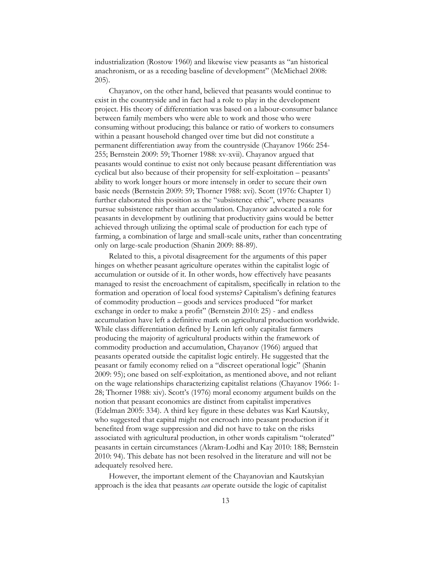industrialization (Rostow 1960) and likewise view peasants as "an historical anachronism, or as a receding baseline of development" (McMichael 2008: 205).

Chayanov, on the other hand, believed that peasants would continue to exist in the countryside and in fact had a role to play in the development project. His theory of differentiation was based on a labour-consumer balance between family members who were able to work and those who were consuming without producing; this balance or ratio of workers to consumers within a peasant household changed over time but did not constitute a permanent differentiation away from the countryside (Chayanov 1966: 254- 255; Bernstein 2009: 59; Thorner 1988: xv-xvii). Chayanov argued that peasants would continue to exist not only because peasant differentiation was cyclical but also because of their propensity for self-exploitation – peasants' ability to work longer hours or more intensely in order to secure their own basic needs (Bernstein 2009: 59; Thorner 1988: xvi). Scott (1976: Chapter 1) further elaborated this position as the "subsistence ethic", where peasants pursue subsistence rather than accumulation. Chayanov advocated a role for peasants in development by outlining that productivity gains would be better achieved through utilizing the optimal scale of production for each type of farming, a combination of large and small-scale units, rather than concentrating only on large-scale production (Shanin 2009: 88-89).

Related to this, a pivotal disagreement for the arguments of this paper hinges on whether peasant agriculture operates within the capitalist logic of accumulation or outside of it. In other words, how effectively have peasants managed to resist the encroachment of capitalism, specifically in relation to the formation and operation of local food systems? Capitalism's defining features of commodity production – goods and services produced "for market exchange in order to make a profit" (Bernstein 2010: 25) - and endless accumulation have left a definitive mark on agricultural production worldwide. While class differentiation defined by Lenin left only capitalist farmers producing the majority of agricultural products within the framework of commodity production and accumulation, Chayanov (1966) argued that peasants operated outside the capitalist logic entirely. He suggested that the peasant or family economy relied on a "discreet operational logic" (Shanin 2009: 95); one based on self-exploitation, as mentioned above, and not reliant on the wage relationships characterizing capitalist relations (Chayanov 1966: 1- 28; Thorner 1988: xiv). Scott's (1976) moral economy argument builds on the notion that peasant economics are distinct from capitalist imperatives (Edelman 2005: 334). A third key figure in these debates was Karl Kautsky, who suggested that capital might not encroach into peasant production if it benefited from wage suppression and did not have to take on the risks associated with agricultural production, in other words capitalism "tolerated" peasants in certain circumstances (Akram-Lodhi and Kay 2010: 188; Bernstein 2010: 94). This debate has not been resolved in the literature and will not be adequately resolved here.

However, the important element of the Chayanovian and Kautskyian approach is the idea that peasants *can* operate outside the logic of capitalist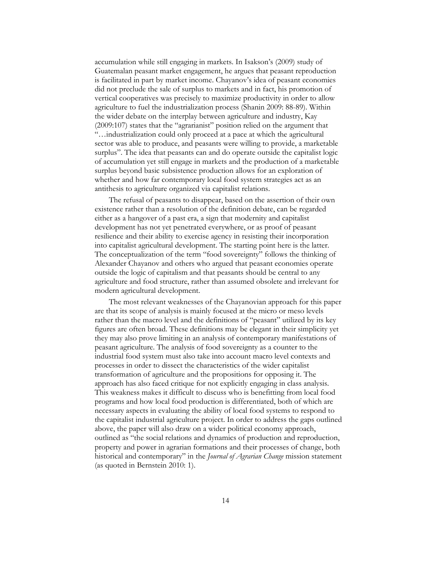accumulation while still engaging in markets. In Isakson's (2009) study of Guatemalan peasant market engagement, he argues that peasant reproduction is facilitated in part by market income. Chayanov's idea of peasant economies did not preclude the sale of surplus to markets and in fact, his promotion of vertical cooperatives was precisely to maximize productivity in order to allow agriculture to fuel the industrialization process (Shanin 2009: 88-89). Within the wider debate on the interplay between agriculture and industry, Kay (2009:107) states that the "agrarianist" position relied on the argument that "…industrialization could only proceed at a pace at which the agricultural sector was able to produce, and peasants were willing to provide, a marketable surplus". The idea that peasants can and do operate outside the capitalist logic of accumulation yet still engage in markets and the production of a marketable surplus beyond basic subsistence production allows for an exploration of whether and how far contemporary local food system strategies act as an antithesis to agriculture organized via capitalist relations.

The refusal of peasants to disappear, based on the assertion of their own existence rather than a resolution of the definition debate, can be regarded either as a hangover of a past era, a sign that modernity and capitalist development has not yet penetrated everywhere, or as proof of peasant resilience and their ability to exercise agency in resisting their incorporation into capitalist agricultural development. The starting point here is the latter. The conceptualization of the term "food sovereignty" follows the thinking of Alexander Chayanov and others who argued that peasant economies operate outside the logic of capitalism and that peasants should be central to any agriculture and food structure, rather than assumed obsolete and irrelevant for modern agricultural development.

The most relevant weaknesses of the Chayanovian approach for this paper are that its scope of analysis is mainly focused at the micro or meso levels rather than the macro level and the definitions of "peasant" utilized by its key figures are often broad. These definitions may be elegant in their simplicity yet they may also prove limiting in an analysis of contemporary manifestations of peasant agriculture. The analysis of food sovereignty as a counter to the industrial food system must also take into account macro level contexts and processes in order to dissect the characteristics of the wider capitalist transformation of agriculture and the propositions for opposing it. The approach has also faced critique for not explicitly engaging in class analysis. This weakness makes it difficult to discuss who is benefitting from local food programs and how local food production is differentiated, both of which are necessary aspects in evaluating the ability of local food systems to respond to the capitalist industrial agriculture project. In order to address the gaps outlined above, the paper will also draw on a wider political economy approach, outlined as "the social relations and dynamics of production and reproduction, property and power in agrarian formations and their processes of change, both historical and contemporary" in the *Journal of Agrarian Change* mission statement (as quoted in Bernstein 2010: 1).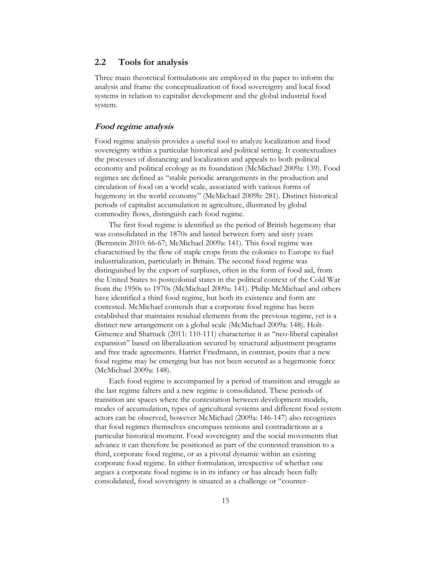## **2.2 Tools for analysis**

Three main theoretical formulations are employed in the paper to inform the analysis and frame the conceptualization of food sovereignty and local food systems in relation to capitalist development and the global industrial food system.

#### **Food regime analysis**

Food regime analysis provides a useful tool to analyze localization and food sovereignty within a particular historical and political setting. It contextualizes the processes of distancing and localization and appeals to both political economy and political ecology as its foundation (McMichael 2009a: 139). Food regimes are defined as "stable periodic arrangements in the production and circulation of food on a world scale, associated with various forms of hegemony in the world economy" (McMichael 2009b: 281). Distinct historical periods of capitalist accumulation in agriculture, illustrated by global commodity flows, distinguish each food regime.

The first food regime is identified as the period of British hegemony that was consolidated in the 1870s and lasted between forty and sixty years (Bernstein 2010: 66-67; McMichael 2009a: 141). This food regime was characterised by the flow of staple crops from the colonies to Europe to fuel industrialization, particularly in Britain. The second food regime was distinguished by the export of surpluses, often in the form of food aid, from the United States to postcolonial states in the political context of the Cold War from the 1950s to 1970s (McMichael 2009a: 141). Philip McMichael and others have identified a third food regime, but both its existence and form are contested. McMichael contends that a corporate food regime has been established that maintains residual elements from the previous regime, yet is a distinct new arrangement on a global scale (McMichael 2009a: 148). Holt-Gimenez and Shattuck (2011: 110-111) characterize it as "neo-liberal capitalist expansion" based on liberalization secured by structural adjustment programs and free trade agreements. Harriet Friedmann, in contrast, posits that a new food regime may be emerging but has not been secured as a hegemonic force (McMichael 2009a: 148).

Each food regime is accompanied by a period of transition and struggle as the last regime falters and a new regime is consolidated. These periods of transition are spaces where the contestation between development models, modes of accumulation, types of agricultural systems and different food system actors can be observed, however McMichael (2009a: 146-147) also recognizes that food regimes themselves encompass tensions and contradictions at a particular historical moment. Food sovereignty and the social movements that advance it can therefore be positioned as part of the contested transition to a third, corporate food regime, or as a pivotal dynamic within an existing corporate food regime. In either formulation, irrespective of whether one argues a corporate food regime is in its infancy or has already been fully consolidated, food sovereignty is situated as a challenge or "counter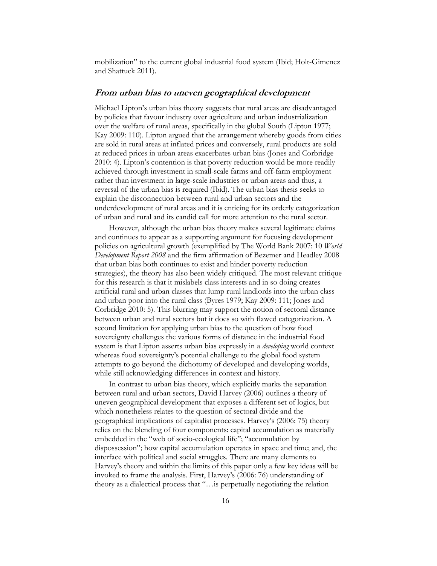mobilization" to the current global industrial food system (Ibid; Holt-Gimenez and Shattuck 2011).

#### **From urban bias to uneven geographical development**

Michael Lipton's urban bias theory suggests that rural areas are disadvantaged by policies that favour industry over agriculture and urban industrialization over the welfare of rural areas, specifically in the global South (Lipton 1977; Kay 2009: 110). Lipton argued that the arrangement whereby goods from cities are sold in rural areas at inflated prices and conversely, rural products are sold at reduced prices in urban areas exacerbates urban bias (Jones and Corbridge 2010: 4). Lipton's contention is that poverty reduction would be more readily achieved through investment in small-scale farms and off-farm employment rather than investment in large-scale industries or urban areas and thus, a reversal of the urban bias is required (Ibid). The urban bias thesis seeks to explain the disconnection between rural and urban sectors and the underdevelopment of rural areas and it is enticing for its orderly categorization of urban and rural and its candid call for more attention to the rural sector.

However, although the urban bias theory makes several legitimate claims and continues to appear as a supporting argument for focusing development policies on agricultural growth (exemplified by The World Bank 2007: 10 *World Development Report 2008* and the firm affirmation of Bezemer and Headley 2008 that urban bias both continues to exist and hinder poverty reduction strategies), the theory has also been widely critiqued. The most relevant critique for this research is that it mislabels class interests and in so doing creates artificial rural and urban classes that lump rural landlords into the urban class and urban poor into the rural class (Byres 1979; Kay 2009: 111; Jones and Corbridge 2010: 5). This blurring may support the notion of sectoral distance between urban and rural sectors but it does so with flawed categorization. A second limitation for applying urban bias to the question of how food sovereignty challenges the various forms of distance in the industrial food system is that Lipton asserts urban bias expressly in a *developing* world context whereas food sovereignty's potential challenge to the global food system attempts to go beyond the dichotomy of developed and developing worlds, while still acknowledging differences in context and history.

In contrast to urban bias theory, which explicitly marks the separation between rural and urban sectors, David Harvey (2006) outlines a theory of uneven geographical development that exposes a different set of logics, but which nonetheless relates to the question of sectoral divide and the geographical implications of capitalist processes. Harvey's (2006: 75) theory relies on the blending of four components: capital accumulation as materially embedded in the "web of socio-ecological life"; "accumulation by dispossession"; how capital accumulation operates in space and time; and, the interface with political and social struggles. There are many elements to Harvey's theory and within the limits of this paper only a few key ideas will be invoked to frame the analysis. First, Harvey's (2006: 76) understanding of theory as a dialectical process that "…is perpetually negotiating the relation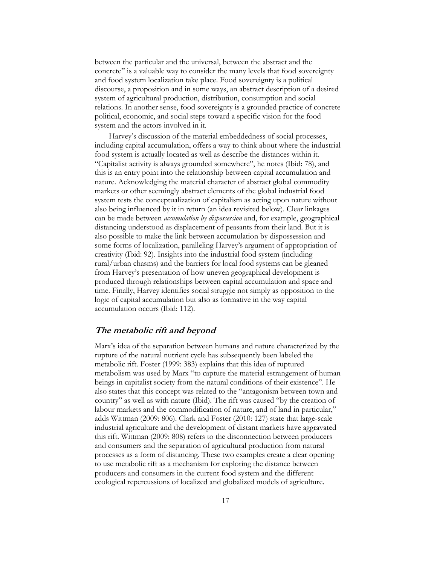between the particular and the universal, between the abstract and the concrete" is a valuable way to consider the many levels that food sovereignty and food system localization take place. Food sovereignty is a political discourse, a proposition and in some ways, an abstract description of a desired system of agricultural production, distribution, consumption and social relations. In another sense, food sovereignty is a grounded practice of concrete political, economic, and social steps toward a specific vision for the food system and the actors involved in it.

Harvey's discussion of the material embeddedness of social processes, including capital accumulation, offers a way to think about where the industrial food system is actually located as well as describe the distances within it. "Capitalist activity is always grounded somewhere", he notes (Ibid: 78), and this is an entry point into the relationship between capital accumulation and nature. Acknowledging the material character of abstract global commodity markets or other seemingly abstract elements of the global industrial food system tests the conceptualization of capitalism as acting upon nature without also being influenced by it in return (an idea revisited below). Clear linkages can be made between *accumulation by dispossession* and, for example, geographical distancing understood as displacement of peasants from their land. But it is also possible to make the link between accumulation by dispossession and some forms of localization, paralleling Harvey's argument of appropriation of creativity (Ibid: 92). Insights into the industrial food system (including rural/urban chasms) and the barriers for local food systems can be gleaned from Harvey's presentation of how uneven geographical development is produced through relationships between capital accumulation and space and time. Finally, Harvey identifies social struggle not simply as opposition to the logic of capital accumulation but also as formative in the way capital accumulation occurs (Ibid: 112).

### **The metabolic rift and beyond**

Marx's idea of the separation between humans and nature characterized by the rupture of the natural nutrient cycle has subsequently been labeled the metabolic rift. Foster (1999: 383) explains that this idea of ruptured metabolism was used by Marx "to capture the material estrangement of human beings in capitalist society from the natural conditions of their existence". He also states that this concept was related to the "antagonism between town and country" as well as with nature (Ibid). The rift was caused "by the creation of labour markets and the commodification of nature, and of land in particular," adds Wittman (2009: 806). Clark and Foster (2010: 127) state that large-scale industrial agriculture and the development of distant markets have aggravated this rift. Wittman (2009: 808) refers to the disconnection between producers and consumers and the separation of agricultural production from natural processes as a form of distancing. These two examples create a clear opening to use metabolic rift as a mechanism for exploring the distance between producers and consumers in the current food system and the different ecological repercussions of localized and globalized models of agriculture.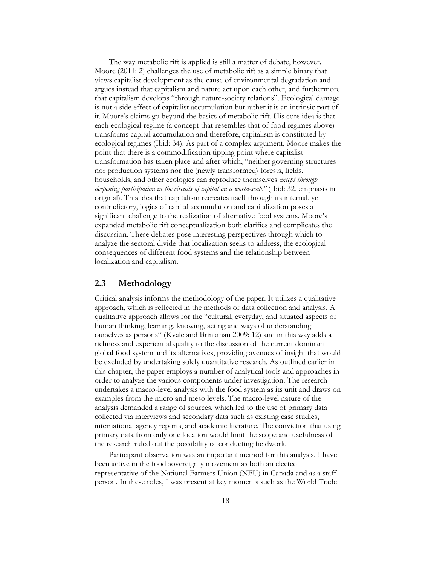The way metabolic rift is applied is still a matter of debate, however. Moore (2011: 2) challenges the use of metabolic rift as a simple binary that views capitalist development as the cause of environmental degradation and argues instead that capitalism and nature act upon each other, and furthermore that capitalism develops "through nature-society relations". Ecological damage is not a side effect of capitalist accumulation but rather it is an intrinsic part of it. Moore's claims go beyond the basics of metabolic rift. His core idea is that each ecological regime (a concept that resembles that of food regimes above) transforms capital accumulation and therefore, capitalism is constituted by ecological regimes (Ibid: 34). As part of a complex argument, Moore makes the point that there is a commodification tipping point where capitalist transformation has taken place and after which, "neither governing structures nor production systems nor the (newly transformed) forests, fields, households, and other ecologies can reproduce themselves *except through deepening participation in the circuits of capital on a world-scale"* (Ibid: 32, emphasis in original). This idea that capitalism recreates itself through its internal, yet contradictory, logics of capital accumulation and capitalization poses a significant challenge to the realization of alternative food systems. Moore's expanded metabolic rift conceptualization both clarifies and complicates the discussion. These debates pose interesting perspectives through which to analyze the sectoral divide that localization seeks to address, the ecological consequences of different food systems and the relationship between localization and capitalism.

## **2.3 Methodology**

Critical analysis informs the methodology of the paper. It utilizes a qualitative approach, which is reflected in the methods of data collection and analysis. A qualitative approach allows for the "cultural, everyday, and situated aspects of human thinking, learning, knowing, acting and ways of understanding ourselves as persons" (Kvale and Brinkman 2009: 12) and in this way adds a richness and experiential quality to the discussion of the current dominant global food system and its alternatives, providing avenues of insight that would be excluded by undertaking solely quantitative research. As outlined earlier in this chapter, the paper employs a number of analytical tools and approaches in order to analyze the various components under investigation. The research undertakes a macro-level analysis with the food system as its unit and draws on examples from the micro and meso levels. The macro-level nature of the analysis demanded a range of sources, which led to the use of primary data collected via interviews and secondary data such as existing case studies, international agency reports, and academic literature. The conviction that using primary data from only one location would limit the scope and usefulness of the research ruled out the possibility of conducting fieldwork.

Participant observation was an important method for this analysis. I have been active in the food sovereignty movement as both an elected representative of the National Farmers Union (NFU) in Canada and as a staff person. In these roles, I was present at key moments such as the World Trade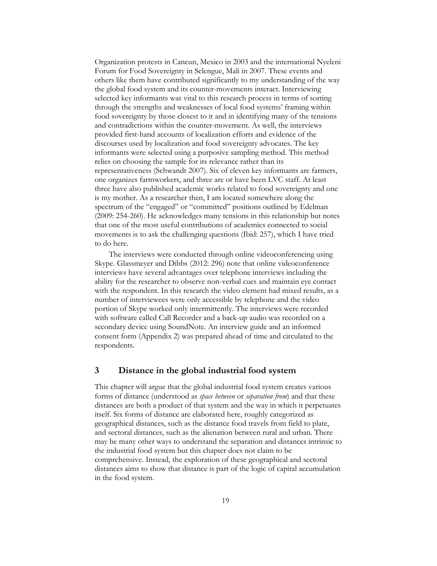Organization protests in Cancun, Mexico in 2003 and the international Nyeleni Forum for Food Sovereignty in Selengue, Mali in 2007. These events and others like them have contributed significantly to my understanding of the way the global food system and its counter-movements interact. Interviewing selected key informants was vital to this research process in terms of sorting through the strengths and weaknesses of local food systems' framing within food sovereignty by those closest to it and in identifying many of the tensions and contradictions within the counter-movement. As well, the interviews provided first-hand accounts of localization efforts and evidence of the discourses used by localization and food sovereignty advocates. The key informants were selected using a purposive sampling method. This method relies on choosing the sample for its relevance rather than its representativeness (Schwandt 2007). Six of eleven key informants are farmers, one organizes farmworkers, and three are or have been LVC staff. At least three have also published academic works related to food sovereignty and one is my mother. As a researcher then, I am located somewhere along the spectrum of the "engaged" or "committed" positions outlined by Edelman (2009: 254-260). He acknowledges many tensions in this relationship but notes that one of the most useful contributions of academics connected to social movements is to ask the challenging questions (Ibid: 257), which I have tried to do here.

The interviews were conducted through online videoconferencing using Skype. Glassmeyer and Dibbs (2012: 296) note that online videoconference interviews have several advantages over telephone interviews including the ability for the researcher to observe non-verbal cues and maintain eye contact with the respondent. In this research the video element had mixed results, as a number of interviewees were only accessible by telephone and the video portion of Skype worked only intermittently. The interviews were recorded with software called Call Recorder and a back-up audio was recorded on a secondary device using SoundNote. An interview guide and an informed consent form (Appendix 2) was prepared ahead of time and circulated to the respondents.

## **3 Distance in the global industrial food system**

This chapter will argue that the global industrial food system creates various forms of distance (understood as *space between* or *separation from*) and that these distances are both a product of that system and the way in which it perpetuates itself. Six forms of distance are elaborated here, roughly categorized as geographical distances, such as the distance food travels from field to plate, and sectoral distances, such as the alienation between rural and urban. There may be many other ways to understand the separation and distances intrinsic to the industrial food system but this chapter does not claim to be comprehensive. Instead, the exploration of these geographical and sectoral distances aims to show that distance is part of the logic of capital accumulation in the food system.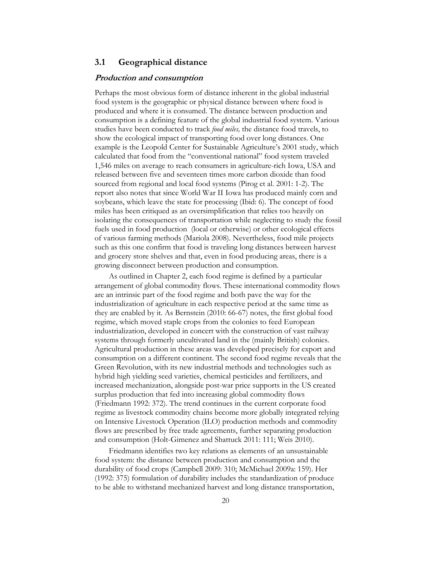## **3.1 Geographical distance**

#### **Production and consumption**

Perhaps the most obvious form of distance inherent in the global industrial food system is the geographic or physical distance between where food is produced and where it is consumed. The distance between production and consumption is a defining feature of the global industrial food system. Various studies have been conducted to track *food miles,* the distance food travels, to show the ecological impact of transporting food over long distances. One example is the Leopold Center for Sustainable Agriculture's 2001 study, which calculated that food from the "conventional national" food system traveled 1,546 miles on average to reach consumers in agriculture-rich Iowa, USA and released between five and seventeen times more carbon dioxide than food sourced from regional and local food systems (Pirog et al. 2001: 1-2). The report also notes that since World War II Iowa has produced mainly corn and soybeans, which leave the state for processing (Ibid: 6). The concept of food miles has been critiqued as an oversimplification that relies too heavily on isolating the consequences of transportation while neglecting to study the fossil fuels used in food production (local or otherwise) or other ecological effects of various farming methods (Mariola 2008). Nevertheless, food mile projects such as this one confirm that food is traveling long distances between harvest and grocery store shelves and that, even in food producing areas, there is a growing disconnect between production and consumption.

As outlined in Chapter 2, each food regime is defined by a particular arrangement of global commodity flows. These international commodity flows are an intrinsic part of the food regime and both pave the way for the industrialization of agriculture in each respective period at the same time as they are enabled by it. As Bernstein (2010: 66-67) notes, the first global food regime, which moved staple crops from the colonies to feed European industrialization, developed in concert with the construction of vast railway systems through formerly uncultivated land in the (mainly British) colonies. Agricultural production in these areas was developed precisely for export and consumption on a different continent. The second food regime reveals that the Green Revolution, with its new industrial methods and technologies such as hybrid high yielding seed varieties, chemical pesticides and fertilizers, and increased mechanization, alongside post-war price supports in the US created surplus production that fed into increasing global commodity flows (Friedmann 1992: 372). The trend continues in the current corporate food regime as livestock commodity chains become more globally integrated relying on Intensive Livestock Operation (ILO) production methods and commodity flows are prescribed by free trade agreements, further separating production and consumption (Holt-Gimenez and Shattuck 2011: 111; Weis 2010).

Friedmann identifies two key relations as elements of an unsustainable food system: the distance between production and consumption and the durability of food crops (Campbell 2009: 310; McMichael 2009a: 159). Her (1992: 375) formulation of durability includes the standardization of produce to be able to withstand mechanized harvest and long distance transportation,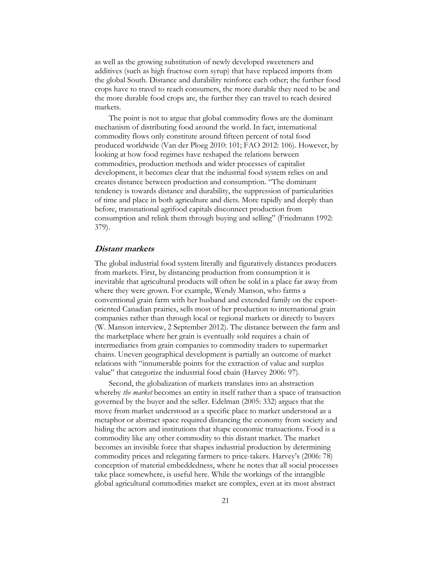as well as the growing substitution of newly developed sweeteners and additives (such as high fructose corn syrup) that have replaced imports from the global South. Distance and durability reinforce each other; the further food crops have to travel to reach consumers, the more durable they need to be and the more durable food crops are, the further they can travel to reach desired markets.

The point is not to argue that global commodity flows are the dominant mechanism of distributing food around the world. In fact, international commodity flows only constitute around fifteen percent of total food produced worldwide (Van der Ploeg 2010: 101; FAO 2012: 106). However, by looking at how food regimes have reshaped the relations between commodities, production methods and wider processes of capitalist development, it becomes clear that the industrial food system relies on and creates distance between production and consumption. "The dominant tendency is towards distance and durability, the suppression of particularities of time and place in both agriculture and diets. More rapidly and deeply than before, transnational agrifood capitals disconnect production from consumption and relink them through buying and selling" (Friedmann 1992: 379).

#### **Distant markets**

The global industrial food system literally and figuratively distances producers from markets. First, by distancing production from consumption it is inevitable that agricultural products will often be sold in a place far away from where they were grown. For example, Wendy Manson, who farms a conventional grain farm with her husband and extended family on the exportoriented Canadian prairies, sells most of her production to international grain companies rather than through local or regional markets or directly to buyers (W. Manson interview, 2 September 2012). The distance between the farm and the marketplace where her grain is eventually sold requires a chain of intermediaries from grain companies to commodity traders to supermarket chains. Uneven geographical development is partially an outcome of market relations with "innumerable points for the extraction of value and surplus value" that categorize the industrial food chain (Harvey 2006: 97).

Second, the globalization of markets translates into an abstraction whereby *the market* becomes an entity in itself rather than a space of transaction governed by the buyer and the seller. Edelman (2005: 332) argues that the move from market understood as a specific place to market understood as a metaphor or abstract space required distancing the economy from society and hiding the actors and institutions that shape economic transactions. Food is a commodity like any other commodity to this distant market. The market becomes an invisible force that shapes industrial production by determining commodity prices and relegating farmers to price-takers. Harvey's (2006: 78) conception of material embeddedness, where he notes that all social processes take place somewhere, is useful here. While the workings of the intangible global agricultural commodities market are complex, even at its most abstract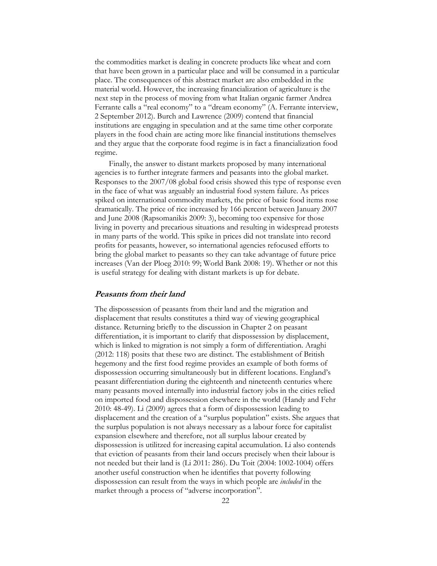the commodities market is dealing in concrete products like wheat and corn that have been grown in a particular place and will be consumed in a particular place. The consequences of this abstract market are also embedded in the material world. However, the increasing financialization of agriculture is the next step in the process of moving from what Italian organic farmer Andrea Ferrante calls a "real economy" to a "dream economy" (A. Ferrante interview, 2 September 2012). Burch and Lawrence (2009) contend that financial institutions are engaging in speculation and at the same time other corporate players in the food chain are acting more like financial institutions themselves and they argue that the corporate food regime is in fact a financialization food regime.

Finally, the answer to distant markets proposed by many international agencies is to further integrate farmers and peasants into the global market. Responses to the 2007/08 global food crisis showed this type of response even in the face of what was arguably an industrial food system failure. As prices spiked on international commodity markets, the price of basic food items rose dramatically. The price of rice increased by 166 percent between January 2007 and June 2008 (Rapsomanikis 2009: 3), becoming too expensive for those living in poverty and precarious situations and resulting in widespread protests in many parts of the world. This spike in prices did not translate into record profits for peasants, however, so international agencies refocused efforts to bring the global market to peasants so they can take advantage of future price increases (Van der Ploeg 2010: 99; World Bank 2008: 19). Whether or not this is useful strategy for dealing with distant markets is up for debate.

#### **Peasants from their land**

The dispossession of peasants from their land and the migration and displacement that results constitutes a third way of viewing geographical distance. Returning briefly to the discussion in Chapter 2 on peasant differentiation, it is important to clarify that dispossession by displacement, which is linked to migration is not simply a form of differentiation. Araghi (2012: 118) posits that these two are distinct. The establishment of British hegemony and the first food regime provides an example of both forms of dispossession occurring simultaneously but in different locations. England's peasant differentiation during the eighteenth and nineteenth centuries where many peasants moved internally into industrial factory jobs in the cities relied on imported food and dispossession elsewhere in the world (Handy and Fehr 2010: 48-49). Li (2009) agrees that a form of dispossession leading to displacement and the creation of a "surplus population" exists. She argues that the surplus population is not always necessary as a labour force for capitalist expansion elsewhere and therefore, not all surplus labour created by dispossession is utilitzed for increasing capital accumulation. Li also contends that eviction of peasants from their land occurs precisely when their labour is not needed but their land is (Li 2011: 286). Du Toit (2004: 1002-1004) offers another useful construction when he identifies that poverty following dispossession can result from the ways in which people are *included* in the market through a process of "adverse incorporation".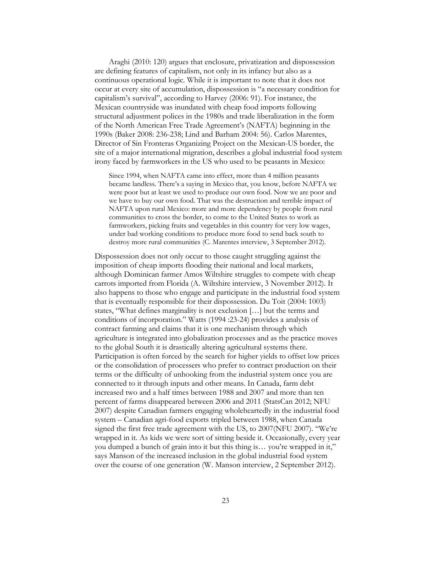Araghi (2010: 120) argues that enclosure, privatization and dispossession are defining features of capitalism, not only in its infancy but also as a continuous operational logic. While it is important to note that it does not occur at every site of accumulation, dispossession is "a necessary condition for capitalism's survival", according to Harvey (2006: 91). For instance, the Mexican countryside was inundated with cheap food imports following structural adjustment polices in the 1980s and trade liberalization in the form of the North American Free Trade Agreement's (NAFTA) beginning in the 1990s (Baker 2008: 236-238; Lind and Barham 2004: 56). Carlos Marentes, Director of Sin Fronteras Organizing Project on the Mexican-US border, the site of a major international migration, describes a global industrial food system irony faced by farmworkers in the US who used to be peasants in Mexico:

Since 1994, when NAFTA came into effect, more than 4 million peasants became landless. There's a saying in Mexico that, you know, before NAFTA we were poor but at least we used to produce our own food. Now we are poor and we have to buy our own food. That was the destruction and terrible impact of NAFTA upon rural Mexico: more and more dependency by people from rural communities to cross the border, to come to the United States to work as farmworkers, picking fruits and vegetables in this country for very low wages, under bad working conditions to produce more food to send back south to destroy more rural communities (C. Marentes interview, 3 September 2012).

Dispossession does not only occur to those caught struggling against the imposition of cheap imports flooding their national and local markets, although Dominican farmer Amos Wiltshire struggles to compete with cheap carrots imported from Florida (A. Wiltshire interview, 3 November 2012). It also happens to those who engage and participate in the industrial food system that is eventually responsible for their dispossession. Du Toit (2004: 1003) states, "What defines marginality is not exclusion […] but the terms and conditions of incorporation." Watts (1994 :23-24) provides a analysis of contract farming and claims that it is one mechanism through which agriculture is integrated into globalization processes and as the practice moves to the global South it is drastically altering agricultural systems there. Participation is often forced by the search for higher yields to offset low prices or the consolidation of processers who prefer to contract production on their terms or the difficulty of unhooking from the industrial system once you are connected to it through inputs and other means. In Canada, farm debt increased two and a half times between 1988 and 2007 and more than ten percent of farms disappeared between 2006 and 2011 (StatsCan 2012; NFU 2007) despite Canadian farmers engaging wholeheartedly in the industrial food system – Canadian agri-food exports tripled between 1988, when Canada signed the first free trade agreement with the US, to 2007(NFU 2007). "We're wrapped in it. As kids we were sort of sitting beside it. Occasionally, every year you dumped a bunch of grain into it but this thing is… you're wrapped in it," says Manson of the increased inclusion in the global industrial food system over the course of one generation (W. Manson interview, 2 September 2012).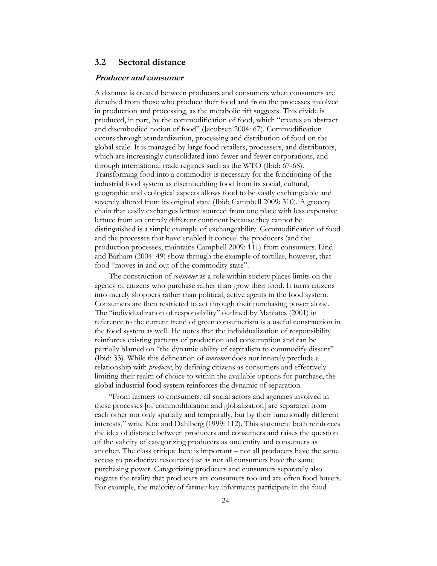## **3.2 Sectoral distance**

#### **Producer and consumer**

A distance is created between producers and consumers when consumers are detached from those who produce their food and from the processes involved in production and processing, as the metabolic rift suggests. This divide is produced, in part, by the commodification of food, which "creates an abstract and disembodied notion of food" (Jacobsen 2004: 67). Commodification occurs through standardization, processing and distribution of food on the global scale. It is managed by large food retailers, processers, and distributors, which are increasingly consolidated into fewer and fewer corporations, and through international trade regimes such as the WTO (Ibid: 67-68). Transforming food into a commodity is necessary for the functioning of the industrial food system as disembedding food from its social, cultural, geographic and ecological aspects allows food to be vastly exchangeable and severely altered from its original state (Ibid; Campbell 2009: 310). A grocery chain that easily exchanges lettuce sourced from one place with less expensive lettuce from an entirely different continent because they cannot be distinguished is a simple example of exchangeability. Commodification of food and the processes that have enabled it conceal the producers (and the production processes, maintains Campbell 2009: 111) from consumers. Lind and Barham (2004: 49) show through the example of tortillas, however, that food "moves in and out of the commodity state".

The construction of *consumer* as a role within society places limits on the agency of citizens who purchase rather than grow their food. It turns citizens into merely shoppers rather than political, active agents in the food system. Consumers are then restricted to act through their purchasing power alone. The "individualization of responsibility" outlined by Maniates (2001) in reference to the current trend of green consumerism is a useful construction in the food system as well. He notes that the individualization of responsibility reinforces existing patterns of production and consumption and can be partially blamed on "the dynamic ability of capitalism to commodify dissent" (Ibid: 33). While this delineation of *consumer* does not innately preclude a relationship with *producer*, by defining citizens as consumers and effectively limiting their realm of choice to within the available options for purchase, the global industrial food system reinforces the dynamic of separation.

"From farmers to consumers, all social actors and agencies involved in these processes [of commodification and globalization] are separated from each other not only spatially and temporally, but by their functionally different interests," write Koc and Dahlberg (1999: 112). This statement both reinforces the idea of distance between producers and consumers and raises the question of the validity of categorizing producers as one entity and consumers as another. The class critique here is important – not all producers have the same access to productive resources just as not all consumers have the same purchasing power. Categorizing producers and consumers separately also negates the reality that producers are consumers too and are often food buyers. For example, the majority of farmer key informants participate in the food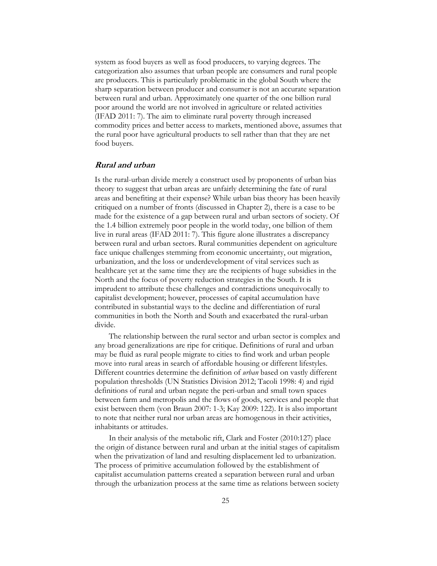system as food buyers as well as food producers, to varying degrees. The categorization also assumes that urban people are consumers and rural people are producers. This is particularly problematic in the global South where the sharp separation between producer and consumer is not an accurate separation between rural and urban. Approximately one quarter of the one billion rural poor around the world are not involved in agriculture or related activities (IFAD 2011: 7). The aim to eliminate rural poverty through increased commodity prices and better access to markets, mentioned above, assumes that the rural poor have agricultural products to sell rather than that they are net food buyers.

#### **Rural and urban**

Is the rural-urban divide merely a construct used by proponents of urban bias theory to suggest that urban areas are unfairly determining the fate of rural areas and benefiting at their expense? While urban bias theory has been heavily critiqued on a number of fronts (discussed in Chapter 2), there is a case to be made for the existence of a gap between rural and urban sectors of society. Of the 1.4 billion extremely poor people in the world today, one billion of them live in rural areas (IFAD 2011: 7). This figure alone illustrates a discrepancy between rural and urban sectors. Rural communities dependent on agriculture face unique challenges stemming from economic uncertainty, out migration, urbanization, and the loss or underdevelopment of vital services such as healthcare yet at the same time they are the recipients of huge subsidies in the North and the focus of poverty reduction strategies in the South. It is imprudent to attribute these challenges and contradictions unequivocally to capitalist development; however, processes of capital accumulation have contributed in substantial ways to the decline and differentiation of rural communities in both the North and South and exacerbated the rural-urban divide.

The relationship between the rural sector and urban sector is complex and any broad generalizations are ripe for critique. Definitions of rural and urban may be fluid as rural people migrate to cities to find work and urban people move into rural areas in search of affordable housing or different lifestyles. Different countries determine the definition of *urban* based on vastly different population thresholds (UN Statistics Division 2012; Tacoli 1998: 4) and rigid definitions of rural and urban negate the peri-urban and small town spaces between farm and metropolis and the flows of goods, services and people that exist between them (von Braun 2007: 1-3; Kay 2009: 122). It is also important to note that neither rural nor urban areas are homogenous in their activities, inhabitants or attitudes.

In their analysis of the metabolic rift, Clark and Foster (2010:127) place the origin of distance between rural and urban at the initial stages of capitalism when the privatization of land and resulting displacement led to urbanization. The process of primitive accumulation followed by the establishment of capitalist accumulation patterns created a separation between rural and urban through the urbanization process at the same time as relations between society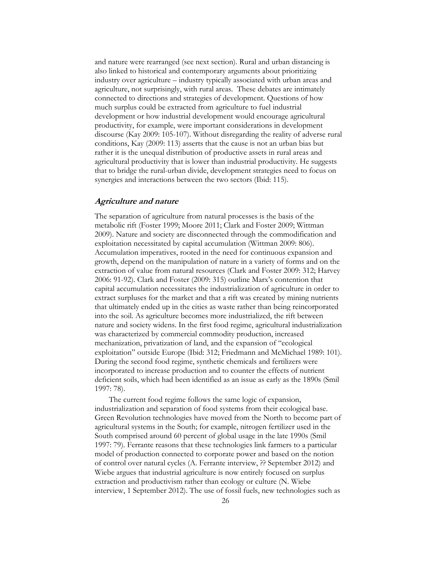and nature were rearranged (see next section). Rural and urban distancing is also linked to historical and contemporary arguments about prioritizing industry over agriculture – industry typically associated with urban areas and agriculture, not surprisingly, with rural areas. These debates are intimately connected to directions and strategies of development. Questions of how much surplus could be extracted from agriculture to fuel industrial development or how industrial development would encourage agricultural productivity, for example, were important considerations in development discourse (Kay 2009: 105-107). Without disregarding the reality of adverse rural conditions, Kay (2009: 113) asserts that the cause is not an urban bias but rather it is the unequal distribution of productive assets in rural areas and agricultural productivity that is lower than industrial productivity. He suggests that to bridge the rural-urban divide, development strategies need to focus on synergies and interactions between the two sectors (Ibid: 115).

#### **Agriculture and nature**

The separation of agriculture from natural processes is the basis of the metabolic rift (Foster 1999; Moore 2011; Clark and Foster 2009; Wittman 2009). Nature and society are disconnected through the commodification and exploitation necessitated by capital accumulation (Wittman 2009: 806). Accumulation imperatives, rooted in the need for continuous expansion and growth, depend on the manipulation of nature in a variety of forms and on the extraction of value from natural resources (Clark and Foster 2009: 312; Harvey 2006: 91-92). Clark and Foster (2009: 315) outline Marx's contention that capital accumulation necessitates the industrialization of agriculture in order to extract surpluses for the market and that a rift was created by mining nutrients that ultimately ended up in the cities as waste rather than being reincorporated into the soil. As agriculture becomes more industrialized, the rift between nature and society widens. In the first food regime, agricultural industrialization was characterized by commercial commodity production, increased mechanization, privatization of land, and the expansion of "ecological exploitation" outside Europe (Ibid: 312; Friedmann and McMichael 1989: 101). During the second food regime, synthetic chemicals and fertilizers were incorporated to increase production and to counter the effects of nutrient deficient soils, which had been identified as an issue as early as the 1890s (Smil 1997: 78).

The current food regime follows the same logic of expansion, industrialization and separation of food systems from their ecological base. Green Revolution technologies have moved from the North to become part of agricultural systems in the South; for example, nitrogen fertilizer used in the South comprised around 60 percent of global usage in the late 1990s (Smil 1997: 79). Ferrante reasons that these technologies link farmers to a particular model of production connected to corporate power and based on the notion of control over natural cycles (A. Ferrante interview, ?? September 2012) and Wiebe argues that industrial agriculture is now entirely focused on surplus extraction and productivism rather than ecology or culture (N. Wiebe interview, 1 September 2012). The use of fossil fuels, new technologies such as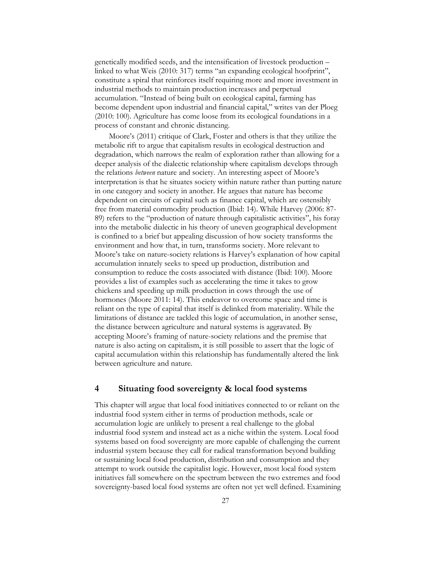genetically modified seeds, and the intensification of livestock production – linked to what Weis (2010: 317) terms "an expanding ecological hoofprint", constitute a spiral that reinforces itself requiring more and more investment in industrial methods to maintain production increases and perpetual accumulation. "Instead of being built on ecological capital, farming has become dependent upon industrial and financial capital," writes van der Ploeg (2010: 100). Agriculture has come loose from its ecological foundations in a process of constant and chronic distancing.

Moore's (2011) critique of Clark, Foster and others is that they utilize the metabolic rift to argue that capitalism results in ecological destruction and degradation, which narrows the realm of exploration rather than allowing for a deeper analysis of the dialectic relationship where capitalism develops through the relations *between* nature and society. An interesting aspect of Moore's interpretation is that he situates society within nature rather than putting nature in one category and society in another. He argues that nature has become dependent on circuits of capital such as finance capital, which are ostensibly free from material commodity production (Ibid: 14). While Harvey (2006: 87- 89) refers to the "production of nature through capitalistic activities", his foray into the metabolic dialectic in his theory of uneven geographical development is confined to a brief but appealing discussion of how society transforms the environment and how that, in turn, transforms society. More relevant to Moore's take on nature-society relations is Harvey's explanation of how capital accumulation innately seeks to speed up production, distribution and consumption to reduce the costs associated with distance (Ibid: 100). Moore provides a list of examples such as accelerating the time it takes to grow chickens and speeding up milk production in cows through the use of hormones (Moore 2011: 14). This endeavor to overcome space and time is reliant on the type of capital that itself is delinked from materiality. While the limitations of distance are tackled this logic of accumulation, in another sense, the distance between agriculture and natural systems is aggravated. By accepting Moore's framing of nature-society relations and the premise that nature is also acting on capitalism, it is still possible to assert that the logic of capital accumulation within this relationship has fundamentally altered the link between agriculture and nature.

## **4 Situating food sovereignty & local food systems**

This chapter will argue that local food initiatives connected to or reliant on the industrial food system either in terms of production methods, scale or accumulation logic are unlikely to present a real challenge to the global industrial food system and instead act as a niche within the system. Local food systems based on food sovereignty are more capable of challenging the current industrial system because they call for radical transformation beyond building or sustaining local food production, distribution and consumption and they attempt to work outside the capitalist logic. However, most local food system initiatives fall somewhere on the spectrum between the two extremes and food sovereignty-based local food systems are often not yet well defined. Examining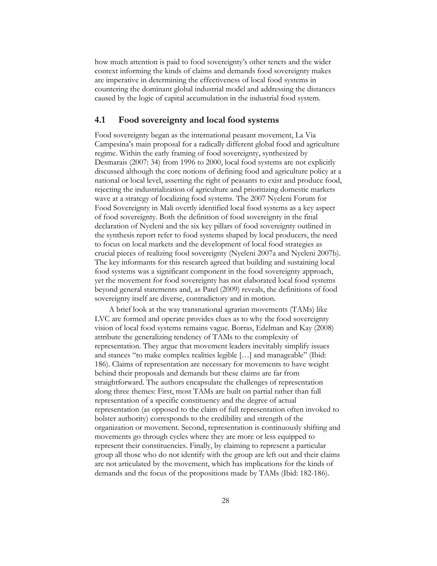how much attention is paid to food sovereignty's other tenets and the wider context informing the kinds of claims and demands food sovereignty makes are imperative in determining the effectiveness of local food systems in countering the dominant global industrial model and addressing the distances caused by the logic of capital accumulation in the industrial food system.

## **4.1 Food sovereignty and local food systems**

Food sovereignty began as the international peasant movement, La Via Campesina's main proposal for a radically different global food and agriculture regime. Within the early framing of food sovereignty, synthesized by Desmarais (2007: 34) from 1996 to 2000, local food systems are not explicitly discussed although the core notions of defining food and agriculture policy at a national or local level, asserting the right of peasants to exist and produce food, rejecting the industrialization of agriculture and prioritizing domestic markets wave at a strategy of localizing food systems. The 2007 Nyeleni Forum for Food Sovereignty in Mali overtly identified local food systems as a key aspect of food sovereignty. Both the definition of food sovereignty in the final declaration of Nyeleni and the six key pillars of food sovereignty outlined in the synthesis report refer to food systems shaped by local producers, the need to focus on local markets and the development of local food strategies as crucial pieces of realizing food sovereignty (Nyeleni 2007a and Nyeleni 2007b). The key informants for this research agreed that building and sustaining local food systems was a significant component in the food sovereignty approach, yet the movement for food sovereignty has not elaborated local food systems beyond general statements and, as Patel (2009) reveals, the definitions of food sovereignty itself are diverse, contradictory and in motion.

A brief look at the way transnational agrarian movements (TAMs) like LVC are formed and operate provides clues as to why the food sovereignty vision of local food systems remains vague. Borras, Edelman and Kay (2008) attribute the generalizing tendency of TAMs to the complexity of representation. They argue that movement leaders inevitably simplify issues and stances "to make complex realities legible […] and manageable" (Ibid: 186). Claims of representation are necessary for movements to have weight behind their proposals and demands but these claims are far from straightforward. The authors encapsulate the challenges of representation along three themes: First, most TAMs are built on partial rather than full representation of a specific constituency and the degree of actual representation (as opposed to the claim of full representation often invoked to bolster authority) corresponds to the credibility and strength of the organization or movement. Second, representation is continuously shifting and movements go through cycles where they are more or less equipped to represent their constituencies. Finally, by claiming to represent a particular group all those who do not identify with the group are left out and their claims are not articulated by the movement, which has implications for the kinds of demands and the focus of the propositions made by TAMs (Ibid: 182-186).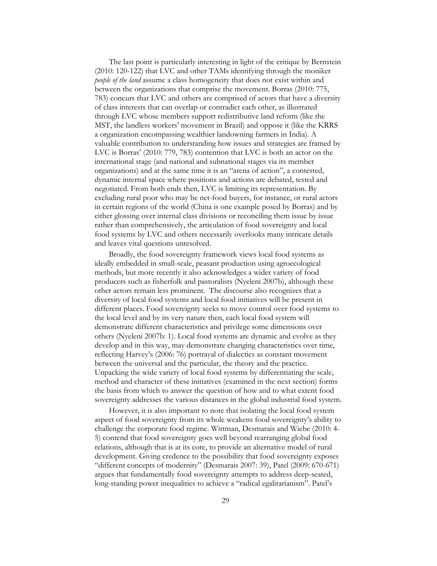The last point is particularly interesting in light of the critique by Bernstein (2010: 120-122) that LVC and other TAMs identifying through the moniker *people of the land* assume a class homogeneity that does not exist within and between the organizations that comprise the movement. Borras (2010: 775, 783) concurs that LVC and others are comprised of actors that have a diversity of class interests that can overlap or contradict each other, as illustrated through LVC whose members support redistributive land reform (like the MST, the landless workers' movement in Brazil) and oppose it (like the KRRS a organization encompassing wealthier landowning farmers in India). A valuable contribution to understanding how issues and strategies are framed by LVC is Borras' (2010: 779, 783) contention that LVC is both an actor on the international stage (and national and subnational stages via its member organizations) and at the same time it is an "arena of action", a contested, dynamic internal space where positions and actions are debated, tested and negotiated. From both ends then, LVC is limiting its representation. By excluding rural poor who may be net-food buyers, for instance, or rural actors in certain regions of the world (China is one example posed by Borras) and by either glossing over internal class divisions or reconciling them issue by issue rather than comprehensively, the articulation of food sovereignty and local food systems by LVC and others necessarily overlooks many intricate details and leaves vital questions unresolved.

Broadly, the food sovereignty framework views local food systems as ideally embedded in small-scale, peasant production using agroecological methods, but more recently it also acknowledges a wider variety of food producers such as fisherfolk and pastoralists (Nyeleni 2007b), although these other actors remain less prominent. The discourse also recognizes that a diversity of local food systems and local food initiatives will be present in different places. Food sovereignty seeks to move control over food systems to the local level and by its very nature then, each local food system will demonstrate different characteristics and privilege some dimensions over others (Nyeleni 2007b: 1). Local food systems are dynamic and evolve as they develop and in this way, may demonstrate changing characteristics over time, reflecting Harvey's (2006: 76) portrayal of dialectics as constant movement between the universal and the particular, the theory and the practice. Unpacking the wide variety of local food systems by differentiating the scale, method and character of these initiatives (examined in the next section) forms the basis from which to answer the question of how and to what extent food sovereignty addresses the various distances in the global industrial food system.

However, it is also important to note that isolating the local food system aspect of food sovereignty from its whole weakens food sovereignty's ability to challenge the corporate food regime. Wittman, Desmarais and Wiebe (2010: 4- 5) contend that food sovereignty goes well beyond rearranging global food relations, although that is at its core, to provide an alternative model of rural development. Giving credence to the possibility that food sovereignty exposes "different concepts of modernity" (Desmarais 2007: 39), Patel (2009: 670-671) argues that fundamentally food sovereignty attempts to address deep-seated, long-standing power inequalities to achieve a "radical egalitarianism". Patel's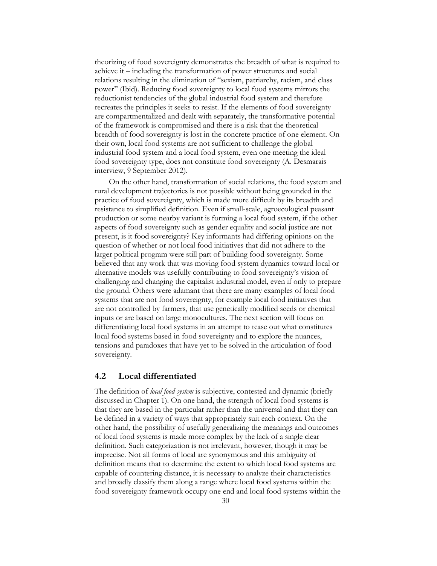theorizing of food sovereignty demonstrates the breadth of what is required to achieve it – including the transformation of power structures and social relations resulting in the elimination of "sexism, patriarchy, racism, and class power" (Ibid). Reducing food sovereignty to local food systems mirrors the reductionist tendencies of the global industrial food system and therefore recreates the principles it seeks to resist. If the elements of food sovereignty are compartmentalized and dealt with separately, the transformative potential of the framework is compromised and there is a risk that the theoretical breadth of food sovereignty is lost in the concrete practice of one element. On their own, local food systems are not sufficient to challenge the global industrial food system and a local food system, even one meeting the ideal food sovereignty type, does not constitute food sovereignty (A. Desmarais interview, 9 September 2012).

On the other hand, transformation of social relations, the food system and rural development trajectories is not possible without being grounded in the practice of food sovereignty, which is made more difficult by its breadth and resistance to simplified definition. Even if small-scale, agroecological peasant production or some nearby variant is forming a local food system, if the other aspects of food sovereignty such as gender equality and social justice are not present, is it food sovereignty? Key informants had differing opinions on the question of whether or not local food initiatives that did not adhere to the larger political program were still part of building food sovereignty. Some believed that any work that was moving food system dynamics toward local or alternative models was usefully contributing to food sovereignty's vision of challenging and changing the capitalist industrial model, even if only to prepare the ground. Others were adamant that there are many examples of local food systems that are not food sovereignty, for example local food initiatives that are not controlled by farmers, that use genetically modified seeds or chemical inputs or are based on large monocultures. The next section will focus on differentiating local food systems in an attempt to tease out what constitutes local food systems based in food sovereignty and to explore the nuances, tensions and paradoxes that have yet to be solved in the articulation of food sovereignty.

#### **4.2 Local differentiated**

The definition of *local food system* is subjective, contested and dynamic (briefly discussed in Chapter 1). On one hand, the strength of local food systems is that they are based in the particular rather than the universal and that they can be defined in a variety of ways that appropriately suit each context. On the other hand, the possibility of usefully generalizing the meanings and outcomes of local food systems is made more complex by the lack of a single clear definition. Such categorization is not irrelevant, however, though it may be imprecise. Not all forms of local are synonymous and this ambiguity of definition means that to determine the extent to which local food systems are capable of countering distance, it is necessary to analyze their characteristics and broadly classify them along a range where local food systems within the food sovereignty framework occupy one end and local food systems within the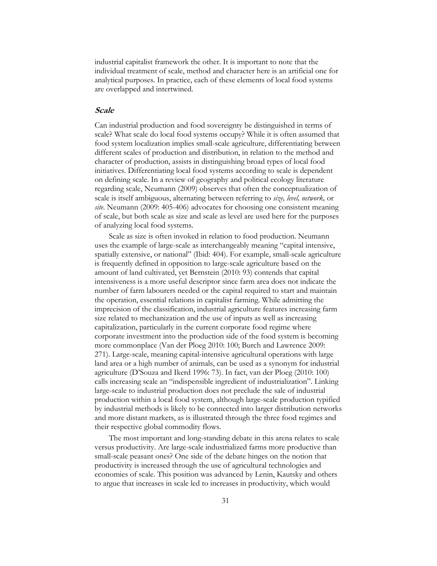industrial capitalist framework the other. It is important to note that the individual treatment of scale, method and character here is an artificial one for analytical purposes. In practice, each of these elements of local food systems are overlapped and intertwined.

#### **Scale**

Can industrial production and food sovereignty be distinguished in terms of scale? What scale do local food systems occupy? While it is often assumed that food system localization implies small-scale agriculture, differentiating between different scales of production and distribution, in relation to the method and character of production, assists in distinguishing broad types of local food initiatives. Differentiating local food systems according to scale is dependent on defining scale. In a review of geography and political ecology literature regarding scale, Neumann (2009) observes that often the conceptualization of scale is itself ambiguous, alternating between referring to *size, level, network,* or *site*. Neumann (2009: 405-406) advocates for choosing one consistent meaning of scale, but both scale as size and scale as level are used here for the purposes of analyzing local food systems.

Scale as size is often invoked in relation to food production. Neumann uses the example of large-scale as interchangeably meaning "capital intensive, spatially extensive, or national" (Ibid: 404). For example, small-scale agriculture is frequently defined in opposition to large-scale agriculture based on the amount of land cultivated, yet Bernstein (2010: 93) contends that capital intensiveness is a more useful descriptor since farm area does not indicate the number of farm labourers needed or the capital required to start and maintain the operation, essential relations in capitalist farming. While admitting the imprecision of the classification, industrial agriculture features increasing farm size related to mechanization and the use of inputs as well as increasing capitalization, particularly in the current corporate food regime where corporate investment into the production side of the food system is becoming more commonplace (Van der Ploeg 2010: 100; Burch and Lawrence 2009: 271). Large-scale, meaning capital-intensive agricultural operations with large land area or a high number of animals, can be used as a synonym for industrial agriculture (D'Souza and Ikerd 1996: 73). In fact, van der Ploeg (2010: 100) calls increasing scale an "indispensible ingredient of industrialization". Linking large-scale to industrial production does not preclude the sale of industrial production within a local food system, although large-scale production typified by industrial methods is likely to be connected into larger distribution networks and more distant markets, as is illustrated through the three food regimes and their respective global commodity flows.

The most important and long-standing debate in this arena relates to scale versus productivity. Are large-scale industrialized farms more productive than small-scale peasant ones? One side of the debate hinges on the notion that productivity is increased through the use of agricultural technologies and economies of scale. This position was advanced by Lenin, Kautsky and others to argue that increases in scale led to increases in productivity, which would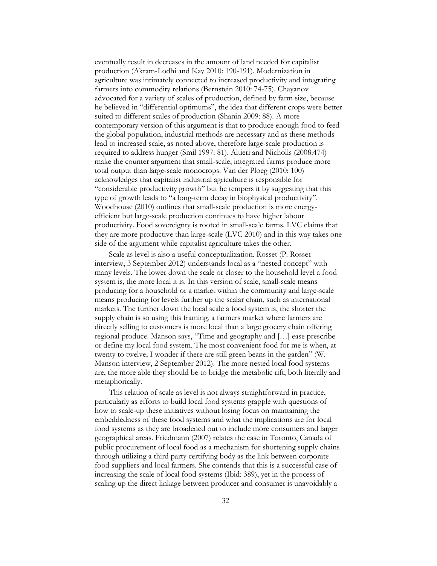eventually result in decreases in the amount of land needed for capitalist production (Akram-Lodhi and Kay 2010: 190-191). Modernization in agriculture was intimately connected to increased productivity and integrating farmers into commodity relations (Bernstein 2010: 74-75). Chayanov advocated for a variety of scales of production, defined by farm size, because he believed in "differential optimums", the idea that different crops were better suited to different scales of production (Shanin 2009: 88). A more contemporary version of this argument is that to produce enough food to feed the global population, industrial methods are necessary and as these methods lead to increased scale, as noted above, therefore large-scale production is required to address hunger (Smil 1997: 81). Altieri and Nicholls (2008:474) make the counter argument that small-scale, integrated farms produce more total output than large-scale monocrops. Van der Ploeg (2010: 100) acknowledges that capitalist industrial agriculture is responsible for "considerable productivity growth" but he tempers it by suggesting that this type of growth leads to "a long-term decay in biophysical productivity". Woodhouse (2010) outlines that small-scale production is more energyefficient but large-scale production continues to have higher labour productivity. Food sovereignty is rooted in small-scale farms. LVC claims that they are more productive than large-scale (LVC 2010) and in this way takes one side of the argument while capitalist agriculture takes the other.

Scale as level is also a useful conceptualization. Rosset (P. Rosset interview, 3 September 2012) understands local as a "nested concept" with many levels. The lower down the scale or closer to the household level a food system is, the more local it is. In this version of scale, small-scale means producing for a household or a market within the community and large-scale means producing for levels further up the scalar chain, such as international markets. The further down the local scale a food system is, the shorter the supply chain is so using this framing, a farmers market where farmers are directly selling to customers is more local than a large grocery chain offering regional produce. Manson says, "Time and geography and […] ease prescribe or define my local food system. The most convenient food for me is when, at twenty to twelve, I wonder if there are still green beans in the garden" (W. Manson interview, 2 September 2012). The more nested local food systems are, the more able they should be to bridge the metabolic rift, both literally and metaphorically.

This relation of scale as level is not always straightforward in practice, particularly as efforts to build local food systems grapple with questions of how to scale-up these initiatives without losing focus on maintaining the embeddedness of these food systems and what the implications are for local food systems as they are broadened out to include more consumers and larger geographical areas. Friedmann (2007) relates the case in Toronto, Canada of public procurement of local food as a mechanism for shortening supply chains through utilizing a third party certifying body as the link between corporate food suppliers and local farmers. She contends that this is a successful case of increasing the scale of local food systems (Ibid: 389), yet in the process of scaling up the direct linkage between producer and consumer is unavoidably a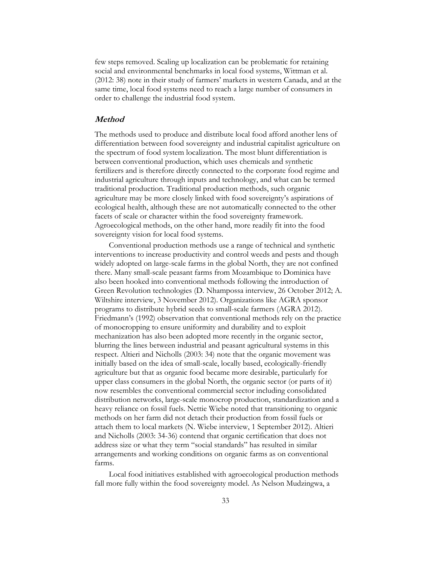few steps removed. Scaling up localization can be problematic for retaining social and environmental benchmarks in local food systems, Wittman et al. (2012: 38) note in their study of farmers' markets in western Canada, and at the same time, local food systems need to reach a large number of consumers in order to challenge the industrial food system.

#### **Method**

The methods used to produce and distribute local food afford another lens of differentiation between food sovereignty and industrial capitalist agriculture on the spectrum of food system localization. The most blunt differentiation is between conventional production, which uses chemicals and synthetic fertilizers and is therefore directly connected to the corporate food regime and industrial agriculture through inputs and technology, and what can be termed traditional production. Traditional production methods, such organic agriculture may be more closely linked with food sovereignty's aspirations of ecological health, although these are not automatically connected to the other facets of scale or character within the food sovereignty framework. Agroecological methods, on the other hand, more readily fit into the food sovereignty vision for local food systems.

Conventional production methods use a range of technical and synthetic interventions to increase productivity and control weeds and pests and though widely adopted on large-scale farms in the global North, they are not confined there. Many small-scale peasant farms from Mozambique to Dominica have also been hooked into conventional methods following the introduction of Green Revolution technologies (D. Nhampossa interview, 26 October 2012; A. Wiltshire interview, 3 November 2012). Organizations like AGRA sponsor programs to distribute hybrid seeds to small-scale farmers (AGRA 2012). Friedmann's (1992) observation that conventional methods rely on the practice of monocropping to ensure uniformity and durability and to exploit mechanization has also been adopted more recently in the organic sector, blurring the lines between industrial and peasant agricultural systems in this respect. Altieri and Nicholls (2003: 34) note that the organic movement was initially based on the idea of small-scale, locally based, ecologically-friendly agriculture but that as organic food became more desirable, particularly for upper class consumers in the global North, the organic sector (or parts of it) now resembles the conventional commercial sector including consolidated distribution networks, large-scale monocrop production, standardization and a heavy reliance on fossil fuels. Nettie Wiebe noted that transitioning to organic methods on her farm did not detach their production from fossil fuels or attach them to local markets (N. Wiebe interview, 1 September 2012). Altieri and Nicholls (2003: 34-36) contend that organic certification that does not address size or what they term "social standards" has resulted in similar arrangements and working conditions on organic farms as on conventional farms.

Local food initiatives established with agroecological production methods fall more fully within the food sovereignty model. As Nelson Mudzingwa, a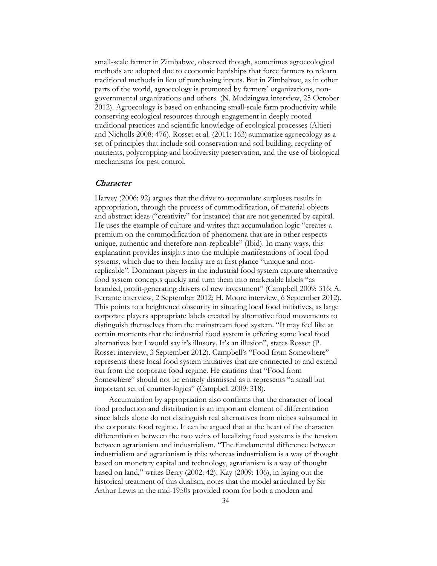small-scale farmer in Zimbabwe, observed though, sometimes agroecological methods are adopted due to economic hardships that force farmers to relearn traditional methods in lieu of purchasing inputs. But in Zimbabwe, as in other parts of the world, agroecology is promoted by farmers' organizations, nongovernmental organizations and others (N. Mudzingwa interview, 25 October 2012). Agroecology is based on enhancing small-scale farm productivity while conserving ecological resources through engagement in deeply rooted traditional practices and scientific knowledge of ecological processes (Altieri and Nicholls 2008: 476). Rosset et al. (2011: 163) summarize agroecology as a set of principles that include soil conservation and soil building, recycling of nutrients, polycropping and biodiversity preservation, and the use of biological mechanisms for pest control.

#### **Character**

Harvey (2006: 92) argues that the drive to accumulate surpluses results in appropriation, through the process of commodification, of material objects and abstract ideas ("creativity" for instance) that are not generated by capital. He uses the example of culture and writes that accumulation logic "creates a premium on the commodification of phenomena that are in other respects unique, authentic and therefore non-replicable" (Ibid). In many ways, this explanation provides insights into the multiple manifestations of local food systems, which due to their locality are at first glance "unique and nonreplicable". Dominant players in the industrial food system capture alternative food system concepts quickly and turn them into marketable labels "as branded, profit-generating drivers of new investment" (Campbell 2009: 316; A. Ferrante interview, 2 September 2012; H. Moore interview, 6 September 2012). This points to a heightened obscurity in situating local food initiatives, as large corporate players appropriate labels created by alternative food movements to distinguish themselves from the mainstream food system. "It may feel like at certain moments that the industrial food system is offering some local food alternatives but I would say it's illusory. It's an illusion", states Rosset (P. Rosset interview, 3 September 2012). Campbell's "Food from Somewhere" represents these local food system initiatives that are connected to and extend out from the corporate food regime. He cautions that "Food from Somewhere" should not be entirely dismissed as it represents "a small but important set of counter-logics" (Campbell 2009: 318).

Accumulation by appropriation also confirms that the character of local food production and distribution is an important element of differentiation since labels alone do not distinguish real alternatives from niches subsumed in the corporate food regime. It can be argued that at the heart of the character differentiation between the two veins of localizing food systems is the tension between agrarianism and industrialism. "The fundamental difference between industrialism and agrarianism is this: whereas industrialism is a way of thought based on monetary capital and technology, agrarianism is a way of thought based on land," writes Berry (2002: 42). Kay (2009: 106), in laying out the historical treatment of this dualism, notes that the model articulated by Sir Arthur Lewis in the mid-1950s provided room for both a modern and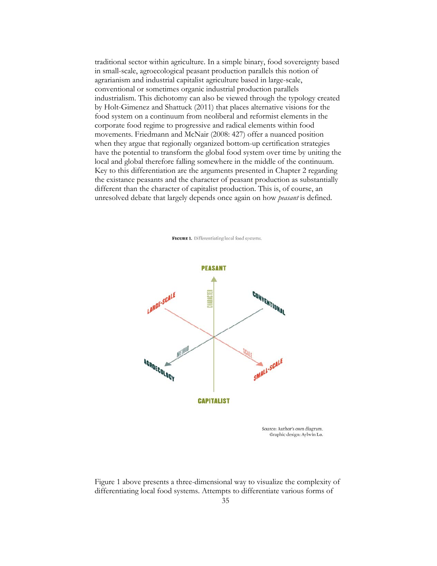traditional sector within agriculture. In a simple binary, food sovereignty based in small-scale, agroecological peasant production parallels this notion of agrarianism and industrial capitalist agriculture based in large-scale, conventional or sometimes organic industrial production parallels industrialism. This dichotomy can also be viewed through the typology created by Holt-Gimenez and Shattuck (2011) that places alternative visions for the food system on a continuum from neoliberal and reformist elements in the corporate food regime to progressive and radical elements within food movements. Friedmann and McNair (2008: 427) offer a nuanced position when they argue that regionally organized bottom-up certification strategies have the potential to transform the global food system over time by uniting the local and global therefore falling somewhere in the middle of the continuum. Key to this differentiation are the arguments presented in Chapter 2 regarding the existance peasants and the character of peasant production as substantially different than the character of capitalist production. This is, of course, an unresolved debate that largely depends once again on how *peasant* is defined.

FIGURE 1. Differentiating local food systems.



Figure 1 above presents a three-dimensional way to visualize the complexity of differentiating local food systems. Attempts to differentiate various forms of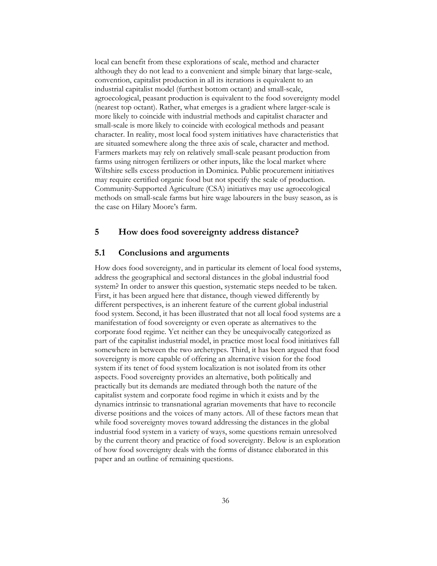local can benefit from these explorations of scale, method and character although they do not lead to a convenient and simple binary that large-scale, convention, capitalist production in all its iterations is equivalent to an industrial capitalist model (furthest bottom octant) and small-scale, agroecological, peasant production is equivalent to the food sovereignty model (nearest top octant). Rather, what emerges is a gradient where larger-scale is more likely to coincide with industrial methods and capitalist character and small-scale is more likely to coincide with ecological methods and peasant character. In reality, most local food system initiatives have characteristics that are situated somewhere along the three axis of scale, character and method. Farmers markets may rely on relatively small-scale peasant production from farms using nitrogen fertilizers or other inputs, like the local market where Wiltshire sells excess production in Dominica. Public procurement initiatives may require certified organic food but not specify the scale of production. Community-Supported Agriculture (CSA) initiatives may use agroecological methods on small-scale farms but hire wage labourers in the busy season, as is the case on Hilary Moore's farm.

## **5 How does food sovereignty address distance?**

## **5.1 Conclusions and arguments**

How does food sovereignty, and in particular its element of local food systems, address the geographical and sectoral distances in the global industrial food system? In order to answer this question, systematic steps needed to be taken. First, it has been argued here that distance, though viewed differently by different perspectives, is an inherent feature of the current global industrial food system. Second, it has been illustrated that not all local food systems are a manifestation of food sovereignty or even operate as alternatives to the corporate food regime. Yet neither can they be unequivocally categorized as part of the capitalist industrial model, in practice most local food initiatives fall somewhere in between the two archetypes. Third, it has been argued that food sovereignty is more capable of offering an alternative vision for the food system if its tenet of food system localization is not isolated from its other aspects. Food sovereignty provides an alternative, both politically and practically but its demands are mediated through both the nature of the capitalist system and corporate food regime in which it exists and by the dynamics intrinsic to transnational agrarian movements that have to reconcile diverse positions and the voices of many actors. All of these factors mean that while food sovereignty moves toward addressing the distances in the global industrial food system in a variety of ways, some questions remain unresolved by the current theory and practice of food sovereignty. Below is an exploration of how food sovereignty deals with the forms of distance elaborated in this paper and an outline of remaining questions.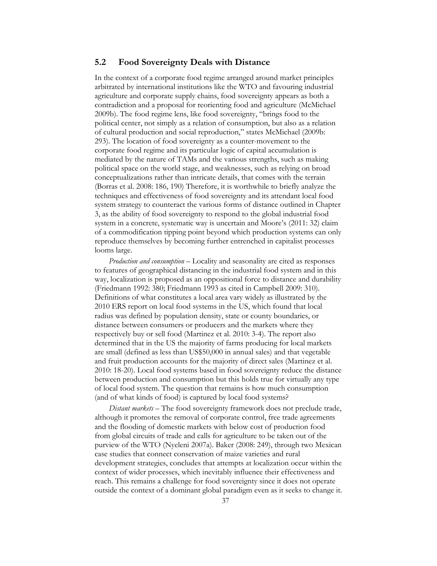## **5.2 Food Sovereignty Deals with Distance**

In the context of a corporate food regime arranged around market principles arbitrated by international institutions like the WTO and favouring industrial agriculture and corporate supply chains, food sovereignty appears as both a contradiction and a proposal for reorienting food and agriculture (McMichael 2009b). The food regime lens, like food sovereignty, "brings food to the political center, not simply as a relation of consumption, but also as a relation of cultural production and social reproduction," states McMichael (2009b: 293). The location of food sovereignty as a counter-movement to the corporate food regime and its particular logic of capital accumulation is mediated by the nature of TAMs and the various strengths, such as making political space on the world stage, and weaknesses, such as relying on broad conceptualizations rather than intricate details, that comes with the terrain (Borras et al. 2008: 186, 190) Therefore, it is worthwhile to briefly analyze the techniques and effectiveness of food sovereignty and its attendant local food system strategy to counteract the various forms of distance outlined in Chapter 3, as the ability of food sovereignty to respond to the global industrial food system in a concrete, systematic way is uncertain and Moore's (2011: 32) claim of a commodification tipping point beyond which production systems can only reproduce themselves by becoming further entrenched in capitalist processes looms large.

*Production and consumption* – Locality and seasonality are cited as responses to features of geographical distancing in the industrial food system and in this way, localization is proposed as an oppositional force to distance and durability (Friedmann 1992: 380; Friedmann 1993 as cited in Campbell 2009: 310). Definitions of what constitutes a local area vary widely as illustrated by the 2010 ERS report on local food systems in the US, which found that local radius was defined by population density, state or county boundaries, or distance between consumers or producers and the markets where they respectively buy or sell food (Martinez et al. 2010: 3-4). The report also determined that in the US the majority of farms producing for local markets are small (defined as less than US\$50,000 in annual sales) and that vegetable and fruit production accounts for the majority of direct sales (Martinez et al. 2010: 18-20). Local food systems based in food sovereignty reduce the distance between production and consumption but this holds true for virtually any type of local food system. The question that remains is how much consumption (and of what kinds of food) is captured by local food systems?

*Distant markets* – The food sovereignty framework does not preclude trade, although it promotes the removal of corporate control, free trade agreements and the flooding of domestic markets with below cost of production food from global circuits of trade and calls for agriculture to be taken out of the purview of the WTO (Nyeleni 2007a). Baker (2008: 249), through two Mexican case studies that connect conservation of maize varieties and rural development strategies, concludes that attempts at localization occur within the context of wider processes, which inevitably influence their effectiveness and reach. This remains a challenge for food sovereignty since it does not operate outside the context of a dominant global paradigm even as it seeks to change it.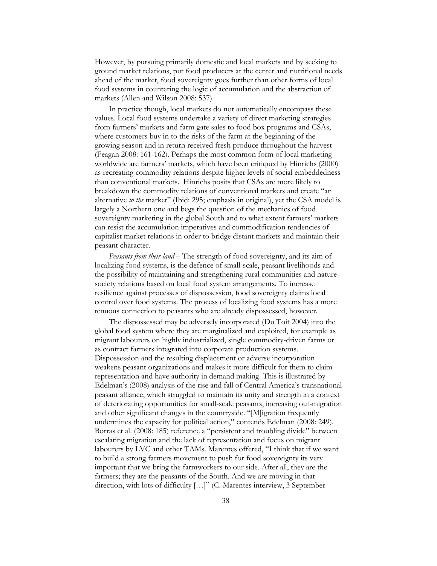However, by pursuing primarily domestic and local markets and by seeking to ground market relations, put food producers at the center and nutritional needs ahead of the market, food sovereignty goes further than other forms of local food systems in countering the logic of accumulation and the abstraction of markets (Allen and Wilson 2008: 537).

In practice though, local markets do not automatically encompass these values. Local food systems undertake a variety of direct marketing strategies from farmers' markets and farm gate sales to food box programs and CSAs, where customers buy in to the risks of the farm at the beginning of the growing season and in return received fresh produce throughout the harvest (Feagan 2008: 161-162). Perhaps the most common form of local marketing worldwide are farmers' markets, which have been critiqued by Hinrichs (2000) as recreating commodity relations despite higher levels of social embeddedness than conventional markets. Hinrichs posits that CSAs are more likely to breakdown the commodity relations of conventional markets and create "an alternative *to the* market" (Ibid: 295; emphasis in original), yet the CSA model is largely a Northern one and begs the question of the mechanics of food sovereignty marketing in the global South and to what extent farmers' markets can resist the accumulation imperatives and commodification tendencies of capitalist market relations in order to bridge distant markets and maintain their peasant character.

*Peasants from their land* – The strength of food sovereignty, and its aim of localizing food systems, is the defence of small-scale, peasant livelihoods and the possibility of maintaining and strengthening rural communities and naturesociety relations based on local food system arrangements. To increase resilience against processes of dispossession, food sovereignty claims local control over food systems. The process of localizing food systems has a more tenuous connection to peasants who are already dispossessed, however.

The dispossessed may be adversely incorporated (Du Toit 2004) into the global food system where they are marginalized and exploited, for example as migrant labourers on highly industrialized, single commodity-driven farms or as contract farmers integrated into corporate production systems. Dispossession and the resulting displacement or adverse incorporation weakens peasant organizations and makes it more difficult for them to claim representation and have authority in demand making. This is illustrated by Edelman's (2008) analysis of the rise and fall of Central America's transnational peasant alliance, which struggled to maintain its unity and strength in a context of deteriorating opportunities for small-scale peasants, increasing out-migration and other significant changes in the countryside. "[M]igration frequently undermines the capacity for political action," contends Edelman (2008: 249). Borras et al. (2008: 185) reference a "persistent and troubling divide" between escalating migration and the lack of representation and focus on migrant labourers by LVC and other TAMs. Marentes offered, "I think that if we want to build a strong farmers movement to push for food sovereignty its very important that we bring the farmworkers to our side. After all, they are the farmers; they are the peasants of the South. And we are moving in that direction, with lots of difficulty […]" (C. Marentes interview, 3 September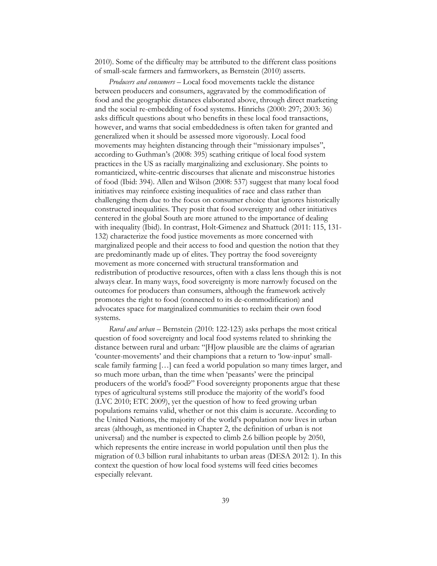2010). Some of the difficulty may be attributed to the different class positions of small-scale farmers and farmworkers, as Bernstein (2010) asserts.

*Producers and consumers* – Local food movements tackle the distance between producers and consumers, aggravated by the commodification of food and the geographic distances elaborated above, through direct marketing and the social re-embedding of food systems. Hinrichs (2000: 297; 2003: 36) asks difficult questions about who benefits in these local food transactions, however, and warns that social embeddedness is often taken for granted and generalized when it should be assessed more vigorously. Local food movements may heighten distancing through their "missionary impulses", according to Guthman's (2008: 395) scathing critique of local food system practices in the US as racially marginalizing and exclusionary. She points to romanticized, white-centric discourses that alienate and misconstrue histories of food (Ibid: 394). Allen and Wilson (2008: 537) suggest that many local food initiatives may reinforce existing inequalities of race and class rather than challenging them due to the focus on consumer choice that ignores historically constructed inequalities. They posit that food sovereignty and other initiatives centered in the global South are more attuned to the importance of dealing with inequality (Ibid). In contrast, Holt-Gimenez and Shattuck (2011: 115, 131- 132) characterize the food justice movements as more concerned with marginalized people and their access to food and question the notion that they are predominantly made up of elites. They portray the food sovereignty movement as more concerned with structural transformation and redistribution of productive resources, often with a class lens though this is not always clear. In many ways, food sovereignty is more narrowly focused on the outcomes for producers than consumers, although the framework actively promotes the right to food (connected to its de-commodification) and advocates space for marginalized communities to reclaim their own food systems.

*Rural and urban* – Bernstein (2010: 122-123) asks perhaps the most critical question of food sovereignty and local food systems related to shrinking the distance between rural and urban: "[H]ow plausible are the claims of agrarian 'counter-movements' and their champions that a return to 'low-input' smallscale family farming […] can feed a world population so many times larger, and so much more urban, than the time when 'peasants' were the principal producers of the world's food?" Food sovereignty proponents argue that these types of agricultural systems still produce the majority of the world's food (LVC 2010; ETC 2009), yet the question of how to feed growing urban populations remains valid, whether or not this claim is accurate. According to the United Nations, the majority of the world's population now lives in urban areas (although, as mentioned in Chapter 2, the definition of urban is not universal) and the number is expected to climb 2.6 billion people by 2050, which represents the entire increase in world population until then plus the migration of 0.3 billion rural inhabitants to urban areas (DESA 2012: 1). In this context the question of how local food systems will feed cities becomes especially relevant.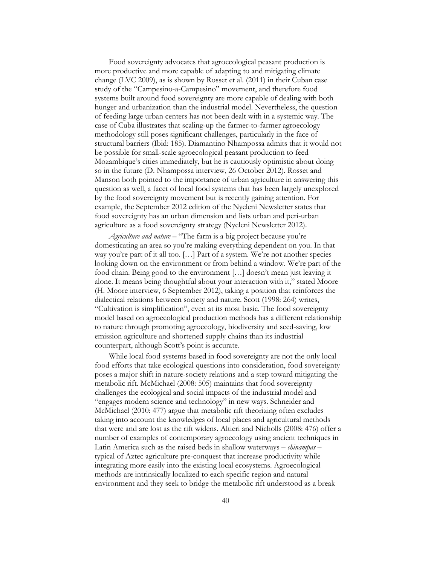Food sovereignty advocates that agroecological peasant production is more productive and more capable of adapting to and mitigating climate change (LVC 2009), as is shown by Rosset et al. (2011) in their Cuban case study of the "Campesino-a-Campesino" movement, and therefore food systems built around food sovereignty are more capable of dealing with both hunger and urbanization than the industrial model. Nevertheless, the question of feeding large urban centers has not been dealt with in a systemic way. The case of Cuba illustrates that scaling-up the farmer-to-farmer agroecology methodology still poses significant challenges, particularly in the face of structural barriers (Ibid: 185). Diamantino Nhampossa admits that it would not be possible for small-scale agroecological peasant production to feed Mozambique's cities immediately, but he is cautiously optimistic about doing so in the future (D. Nhampossa interview, 26 October 2012). Rosset and Manson both pointed to the importance of urban agriculture in answering this question as well, a facet of local food systems that has been largely unexplored by the food sovereignty movement but is recently gaining attention. For example, the September 2012 edition of the Nyeleni Newsletter states that food sovereignty has an urban dimension and lists urban and peri-urban agriculture as a food sovereignty strategy (Nyeleni Newsletter 2012).

*Agriculture and nature* – "The farm is a big project because you're domesticating an area so you're making everything dependent on you. In that way you're part of it all too. […] Part of a system. We're not another species looking down on the environment or from behind a window. We're part of the food chain. Being good to the environment […] doesn't mean just leaving it alone. It means being thoughtful about your interaction with it," stated Moore (H. Moore interview, 6 September 2012), taking a position that reinforces the dialectical relations between society and nature. Scott (1998: 264) writes, "Cultivation is simplification", even at its most basic. The food sovereignty model based on agroecological production methods has a different relationship to nature through promoting agroecology, biodiversity and seed-saving, low emission agriculture and shortened supply chains than its industrial counterpart, although Scott's point is accurate.

While local food systems based in food sovereignty are not the only local food efforts that take ecological questions into consideration, food sovereignty poses a major shift in nature-society relations and a step toward mitigating the metabolic rift. McMichael (2008: 505) maintains that food sovereignty challenges the ecological and social impacts of the industrial model and "engages modern science and technology" in new ways. Schneider and McMichael (2010: 477) argue that metabolic rift theorizing often excludes taking into account the knowledges of local places and agricultural methods that were and are lost as the rift widens. Altieri and Nicholls (2008: 476) offer a number of examples of contemporary agroecology using ancient techniques in Latin America such as the raised beds in shallow waterways – *chinampas* – typical of Aztec agriculture pre-conquest that increase productivity while integrating more easily into the existing local ecosystems. Agroecological methods are intrinsically localized to each specific region and natural environment and they seek to bridge the metabolic rift understood as a break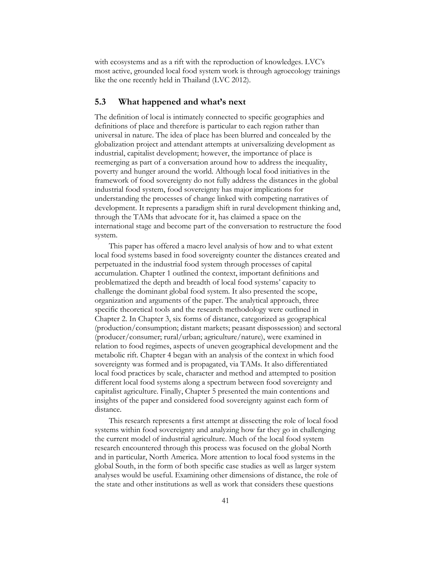with ecosystems and as a rift with the reproduction of knowledges. LVC's most active, grounded local food system work is through agroecology trainings like the one recently held in Thailand (LVC 2012).

## **5.3 What happened and what's next**

The definition of local is intimately connected to specific geographies and definitions of place and therefore is particular to each region rather than universal in nature. The idea of place has been blurred and concealed by the globalization project and attendant attempts at universalizing development as industrial, capitalist development; however, the importance of place is reemerging as part of a conversation around how to address the inequality, poverty and hunger around the world. Although local food initiatives in the framework of food sovereignty do not fully address the distances in the global industrial food system, food sovereignty has major implications for understanding the processes of change linked with competing narratives of development. It represents a paradigm shift in rural development thinking and, through the TAMs that advocate for it, has claimed a space on the international stage and become part of the conversation to restructure the food system.

This paper has offered a macro level analysis of how and to what extent local food systems based in food sovereignty counter the distances created and perpetuated in the industrial food system through processes of capital accumulation. Chapter 1 outlined the context, important definitions and problematized the depth and breadth of local food systems' capacity to challenge the dominant global food system. It also presented the scope, organization and arguments of the paper. The analytical approach, three specific theoretical tools and the research methodology were outlined in Chapter 2. In Chapter 3, six forms of distance, categorized as geographical (production/consumption; distant markets; peasant dispossession) and sectoral (producer/consumer; rural/urban; agriculture/nature), were examined in relation to food regimes, aspects of uneven geographical development and the metabolic rift. Chapter 4 began with an analysis of the context in which food sovereignty was formed and is propagated, via TAMs. It also differentiated local food practices by scale, character and method and attempted to position different local food systems along a spectrum between food sovereignty and capitalist agriculture. Finally, Chapter 5 presented the main contentions and insights of the paper and considered food sovereignty against each form of distance.

This research represents a first attempt at dissecting the role of local food systems within food sovereignty and analyzing how far they go in challenging the current model of industrial agriculture. Much of the local food system research encountered through this process was focused on the global North and in particular, North America. More attention to local food systems in the global South, in the form of both specific case studies as well as larger system analyses would be useful. Examining other dimensions of distance, the role of the state and other institutions as well as work that considers these questions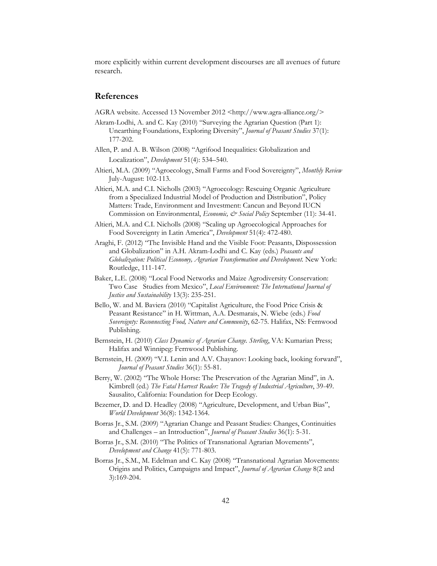more explicitly within current development discourses are all avenues of future research.

#### **References**

- AGRA website. Accessed 13 November 2012 <http://www.agra-alliance.org/>
- Akram-Lodhi, A. and C. Kay (2010) "Surveying the Agrarian Question (Part 1): Unearthing Foundations, Exploring Diversity", *Journal of Peasant Studies* 37(1): 177-202.
- Allen, P. and A. B. Wilson (2008) "Agrifood Inequalities: Globalization and Localization", *Development* 51(4): 534–540.
- Altieri, M.A. (2009) "Agroecology, Small Farms and Food Sovereignty", *Monthly Review* July-August: 102-113.
- Altieri, M.A. and C.I. Nicholls (2003) "Agroecology: Rescuing Organic Agriculture from a Specialized Industrial Model of Production and Distribution", Policy Matters: Trade, Environment and Investment: Cancun and Beyond IUCN Commission on Environmental, *Economic, & Social Policy* September (11): 34-41.
- Altieri, M.A. and C.I. Nicholls (2008) "Scaling up Agroecological Approaches for Food Sovereignty in Latin America", *Development* 51(4): 472-480.
- Araghi, F. (2012) "The Invisible Hand and the Visible Foot: Peasants, Dispossession and Globalization" in A.H. Akram-Lodhi and C. Kay (eds.) *Peasants and Globalization: Political Economy, Agrarian Transformation and Development.* New York: Routledge, 111-147.
- Baker, L.E. (2008) "Local Food Networks and Maize Agrodiversity Conservation: Two Case Studies from Mexico", *Local Environment: The International Journal of Justice and Sustainability* 13(3): 235-251.
- Bello, W. and M. Baviera (2010) "Capitalist Agriculture, the Food Price Crisis & Peasant Resistance" in H. Wittman, A.A. Desmarais, N. Wiebe (eds.) *Food Sovereignty: Reconnecting Food, Nature and Community*, 62-75. Halifax, NS: Fernwood Publishing.
- Bernstein, H. (2010) *Class Dynamics of Agrarian Change. Sterling*, VA: Kumarian Press; Halifax and Winnipeg: Fernwood Publishing.
- Bernstein, H. (2009) "V.I. Lenin and A.V. Chayanov: Looking back, looking forward", *Journal of Peasant Studies* 36(1): 55-81.
- Berry, W. (2002) "The Whole Horse: The Preservation of the Agrarian Mind", in A. Kimbrell (ed.) *The Fatal Harvest Reader: The Tragedy of Industrial Agriculture*, 39-49. Sausalito, California: Foundation for Deep Ecology.
- Bezemer, D. and D. Headley (2008) "Agriculture, Development, and Urban Bias", *World Development* 36(8): 1342-1364.
- Borras Jr., S.M. (2009) "Agrarian Change and Peasant Studies: Changes, Continuities and Challenges – an Introduction", *Journal of Peasant Studies* 36(1): 5-31.
- Borras Jr., S.M. (2010) "The Politics of Transnational Agrarian Movements", *Development and Change* 41(5): 771-803.
- Borras Jr., S.M., M. Edelman and C. Kay (2008) "Transnational Agrarian Movements: Origins and Politics, Campaigns and Impact", *Journal of Agrarian Change* 8(2 and 3):169-204.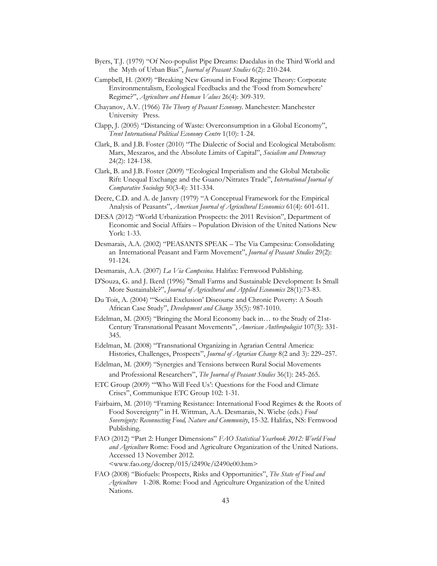- Byers, T.J. (1979) "Of Neo-populist Pipe Dreams: Daedalus in the Third World and the Myth of Urban Bias", *Journal of Peasant Studies* 6(2): 210-244.
- Campbell, H. (2009) "Breaking New Ground in Food Regime Theory: Corporate Environmentalism, Ecological Feedbacks and the 'Food from Somewhere' Regime?", *Agriculture and Human Values* 26(4): 309-319.
- Chayanov, A.V. (1966) *The Theory of Peasant Economy*. Manchester: Manchester University Press.
- Clapp, J. (2005) "Distancing of Waste: Overconsumption in a Global Economy", *Trent International Political Economy Centre* 1(10): 1-24.
- Clark, B. and J.B. Foster (2010) "The Dialectic of Social and Ecological Metabolism: Marx, Meszaros, and the Absolute Limits of Capital", *Socialism and Democracy* 24(2): 124-138.
- Clark, B. and J.B. Foster (2009) "Ecological Imperialism and the Global Metabolic Rift: Unequal Exchange and the Guano/Nitrates Trade", *International Journal of Comparative Sociology* 50(3-4): 311-334.
- Deere, C.D. and A. de Janvry (1979) "A Conceptual Framework for the Empirical Analysis of Peasants", *American Journal of Agricultural Economics* 61(4): 601-611.
- DESA (2012) "World Urbanization Prospects: the 2011 Revision", Department of Economic and Social Affairs – Population Division of the United Nations New York: 1-33.
- Desmarais, A.A. (2002) "PEASANTS SPEAK The Via Campesina: Consolidating an International Peasant and Farm Movement", *Journal of Peasant Studies* 29(2): 91-124.
- Desmarais, A.A. (2007) *La Via Campesina*. Halifax: Fernwood Publishing.
- D'Souza, G. and J. Ikerd (1996) "Small Farms and Sustainable Development: Is Small More Sustainable?", *Journal of Agricultural and Applied Economics* 28(1):73-83.
- Du Toit, A. (2004) "'Social Exclusion' Discourse and Chronic Poverty: A South African Case Study", *Development and Change* 35(5): 987-1010.
- Edelman, M. (2005) "Bringing the Moral Economy back in… to the Study of 21st-Century Transnational Peasant Movements", *American Anthropologist* 107(3): 331- 345.
- Edelman, M. (2008) "Transnational Organizing in Agrarian Central America: Histories, Challenges, Prospects", *Journal of Agrarian Change* 8(2 and 3): 229–257.
- Edelman, M. (2009) "Synergies and Tensions between Rural Social Movements and Professional Researchers", *The Journal of Peasant Studies* 36(1): 245-265.
- ETC Group (2009) "'Who Will Feed Us': Questions for the Food and Climate Crises", Communique ETC Group 102: 1-31.
- Fairbairn, M. (2010) "Framing Resistance: International Food Regimes & the Roots of Food Sovereignty" in H. Wittman, A.A. Desmarais, N. Wiebe (eds.) *Food Sovereignty: Reconnecting Food, Nature and Community*, 15-32. Halifax, NS: Fernwood Publishing.
- FAO (2012) "Part 2: Hunger Dimensions" *FAO Statistical Yearbook 2012: World Food and Agriculture* Rome: Food and Agriculture Organization of the United Nations. Accessed 13 November 2012.  $\langle$ www.fao.org/docrep/015/i2490e/i2490e00.htm>
- FAO (2008) "Biofuels: Prospects, Risks and Opportunities", *The State of Food and Agriculture* 1-208. Rome: Food and Agriculture Organization of the United Nations.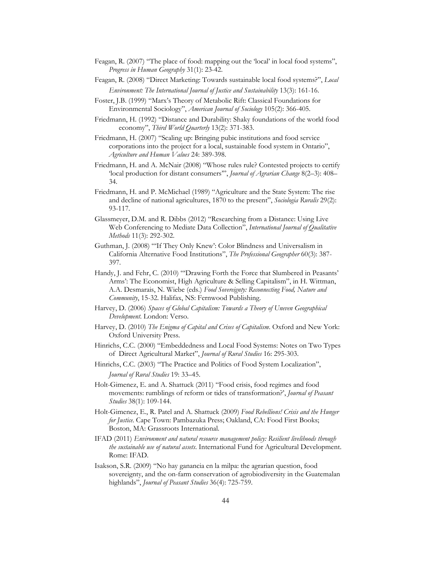- Feagan, R. (2007) "The place of food: mapping out the 'local' in local food systems", *Progress in Human Geography* 31(1): 23-42.
- Feagan, R. (2008) "Direct Marketing: Towards sustainable local food systems?", *Local Environment: The International Journal of Justice and Sustainability* 13(3): 161-16.
- Foster, J.B. (1999) "Marx's Theory of Metabolic Rift: Classical Foundations for Environmental Sociology", *American Journal of Sociology* 105(2): 366-405.
- Friedmann, H. (1992) "Distance and Durability: Shaky foundations of the world food economy", *Third World Quarterly* 13(2): 371-383.
- Friedmann, H. (2007) "Scaling up: Bringing pubic institutions and food service corporations into the project for a local, sustainable food system in Ontario", *Agriculture and Human Values* 24: 389-398.
- Friedmann, H. and A. McNair (2008) "Whose rules rule? Contested projects to certify 'local production for distant consumers'", *Journal of Agrarian Change* 8(2–3): 408– 34.
- Friedmann, H. and P. McMichael (1989) "Agriculture and the State System: The rise and decline of national agricultures, 1870 to the present", *Sociologia Ruralis* 29(2): 93-117.
- Glassmeyer, D.M. and R. Dibbs (2012) "Researching from a Distance: Using Live Web Conferencing to Mediate Data Collection", *International Journal of Qualitative Methods* 11(3): 292-302.
- Guthman, J. (2008) "'If They Only Knew': Color Blindness and Universalism in California Alternative Food Institutions", *The Professional Geographer* 60(3): 387- 397.
- Handy, J. and Fehr, C. (2010) "'Drawing Forth the Force that Slumbered in Peasants' Arms': The Economist, High Agriculture & Selling Capitalism", in H. Wittman, A.A. Desmarais, N. Wiebe (eds.) *Food Sovereignty: Reconnecting Food, Nature and Community*, 15-32. Halifax, NS: Fernwood Publishing.
- Harvey, D. (2006) *Spaces of Global Capitalism: Towards a Theory of Uneven Geographical Development*. London: Verso.
- Harvey, D. (2010) *The Enigma of Capital and Crises of Capitalism*. Oxford and New York: Oxford University Press.
- Hinrichs, C.C. (2000) "Embeddedness and Local Food Systems: Notes on Two Types of Direct Agricultural Market", *Journal of Rural Studies* 16: 295-303.
- Hinrichs, C.C. (2003) "The Practice and Politics of Food System Localization", *Journal of Rural Studies* 19: 33–45.
- Holt-Gimenez, E. and A. Shattuck (2011) "Food crisis, food regimes and food movements: rumblings of reform or tides of transformation?', *Journal of Peasant Studies* 38(1): 109-144.
- Holt-Gimenez, E., R. Patel and A. Shattuck (2009) *Food Rebellions! Crisis and the Hunger for Justice*. Cape Town: Pambazuka Press; Oakland, CA: Food First Books; Boston, MA: Grassroots International.
- IFAD (2011) *Environment and natural resource management policy: Resilient livelihoods through the sustainable use of natural assets*. International Fund for Agricultural Development. Rome: IFAD.
- Isakson, S.R. (2009) "No hay ganancia en la milpa: the agrarian question, food sovereignty, and the on-farm conservation of agrobiodiversity in the Guatemalan highlands", *Journal of Peasant Studies* 36(4): 725-759.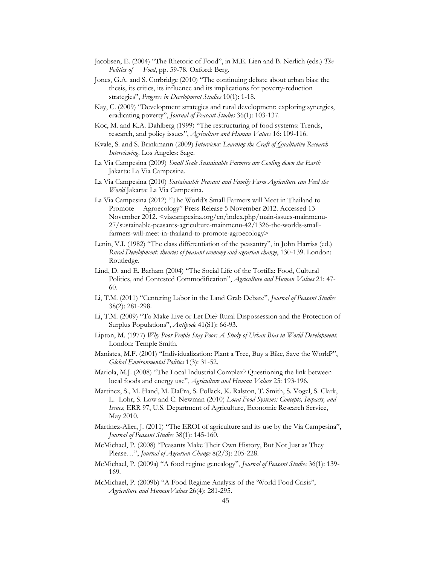- Jacobsen, E. (2004) "The Rhetoric of Food", in M.E. Lien and B. Nerlich (eds.) *The Politics of Food*, pp. 59-78. Oxford: Berg.
- Jones, G.A. and S. Corbridge (2010) "The continuing debate about urban bias: the thesis, its critics, its influence and its implications for poverty-reduction strategies", *Progress in Development Studies* 10(1): 1-18.
- Kay, C. (2009) "Development strategies and rural development: exploring synergies, eradicating poverty", *Journal of Peasant Studies* 36(1): 103-137.
- Koc, M. and K.A. Dahlberg (1999) "The restructuring of food systems: Trends, research, and policy issues", *Agriculture and Human Values* 16: 109-116.
- Kvale, S. and S. Brinkmann (2009) *Interviews: Learning the Craft of Qualitative Research Interviewing*. Los Angeles: Sage.
- La Via Campesina (2009) *Small Scale Sustainable Farmers are Cooling down the Earth* Jakarta: La Via Campesina.
- La Via Campesina (2010) *Sustainatble Peasant and Family Farm Agriculture can Feed the World* Jakarta: La Via Campesina.
- La Via Campesina (2012) "The World's Small Farmers will Meet in Thailand to Promote Agroecology" Press Release 5 November 2012. Accessed 13 November 2012. <viacampesina.org/en/index.php/main-issues-mainmenu-27/sustainable-peasants-agriculture-mainmenu-42/1326-the-worlds-smallfarmers-will-meet-in-thailand-to-promote-agroecology>
- Lenin, V.I. (1982) "The class differentiation of the peasantry", in John Harriss (ed.) *Rural Development: theories of peasant economy and agrarian change*, 130-139. London: Routledge.
- Lind, D. and E. Barham (2004) "The Social Life of the Tortilla: Food, Cultural Politics, and Contested Commodification", *Agriculture and Human Values* 21: 47- 60.
- Li, T.M. (2011) "Centering Labor in the Land Grab Debate", *Journal of Peasant Studies* 38(2): 281-298.
- Li, T.M. (2009) "To Make Live or Let Die? Rural Dispossession and the Protection of Surplus Populations", *Antipode* 41(S1): 66-93.
- Lipton, M. (1977) *Why Poor People Stay Poor: A Study of Urban Bias in World Development*. London: Temple Smith.
- Maniates, M.F. (2001) "Individualization: Plant a Tree, Buy a Bike, Save the World?", *Global Environmental Politics* 1(3): 31-52.
- Mariola, M.J. (2008) "The Local Industrial Complex? Questioning the link between local foods and energy use", *Agriculture and Human Values* 25: 193-196.
- Martinez, S., M. Hand, M. DaPra, S. Pollack, K. Ralston, T. Smith, S. Vogel, S. Clark, L. Lohr, S. Low and C. Newman (2010) *Local Food Systems: Concepts, Impacts, and Issues*, ERR 97, U.S. Department of Agriculture, Economic Research Service, May 2010.
- Martinez-Alier, J. (2011) "The EROI of agriculture and its use by the Via Campesina", *Journal of Peasant Studies* 38(1): 145-160.
- McMichael, P. (2008) "Peasants Make Their Own History, But Not Just as They Please…", *Journal of Agrarian Change* 8(2/3): 205-228.
- McMichael, P. (2009a) "A food regime genealogy", *Journal of Peasant Studies* 36(1): 139- 169.
- McMichael, P. (2009b) "A Food Regime Analysis of the 'World Food Crisis'', *Agriculture and HumanValues* 26(4): 281-295.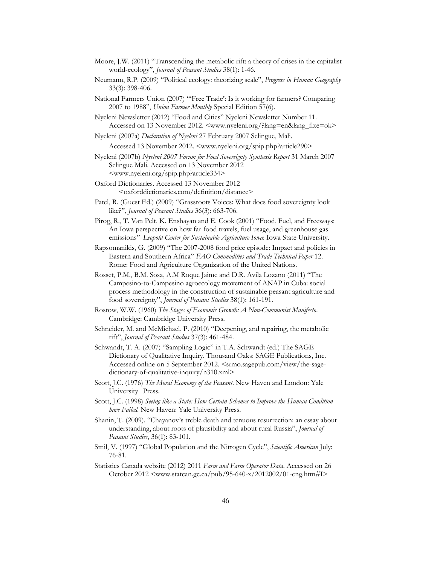- Moore, J.W. (2011) "Transcending the metabolic rift: a theory of crises in the capitalist world-ecology", *Journal of Peasant Studies* 38(1): 1-46.
- Neumann, R.P. (2009) "Political ecology: theorizing scale", *Progress in Human Geography* 33(3): 398-406.
- National Farmers Union (2007) "'Free Trade': Is it working for farmers? Comparing 2007 to 1988", *Union Farmer Monthly* Special Edition 57(6).
- Nyeleni Newsletter (2012) "Food and Cities" Nyeleni Newsletter Number 11. Accessed on 13 November 2012. <www.nyeleni.org/?lang=en&lang\_fixe=ok>
- Nyeleni (2007a) *Declaration of Nyeleni* 27 February 2007 Selingue, Mali.

Accessed 13 November 2012. <www.nyeleni.org/spip.php?article290>

Nyeleni (2007b) *Nyeleni 2007 Forum for Food Sovereignty Synthesis Report* 31 March 2007 Selingue Mali. Accessed on 13 November 2012 <www.nyeleni.org/spip.php?article334>

- Oxford Dictionaries. Accessed 13 November 2012 <oxforddictionaries.com/definition/distance>
- Patel, R. (Guest Ed.) (2009) "Grassroots Voices: What does food sovereignty look like?", *Journal of Peasant Studies* 36(3): 663-706.
- Pirog, R., T. Van Pelt, K. Enshayan and E. Cook (2001) "Food, Fuel, and Freeways: An Iowa perspective on how far food travels, fuel usage, and greenhouse gas emissions" *Leopold Center for Sustainable Agriculture Iowa*: Iowa State University.
- Rapsomanikis, G. (2009) "The 2007-2008 food price episode: Impact and policies in Eastern and Southern Africa" *FAO Commodities and Trade Technical Paper* 12. Rome: Food and Agriculture Organization of the United Nations.
- Rosset, P.M., B.M. Sosa, A.M Roque Jaime and D.R. Avila Lozano (2011) "The Campesino-to-Campesino agroecology movement of ANAP in Cuba: social process methodology in the construction of sustainable peasant agriculture and food sovereignty", *Journal of Peasant Studies* 38(1): 161-191.
- Rostow, W.W. (1960) *The Stages of Economic Growth: A Non-Communist Manifesto*. Cambridge: Cambridge University Press.
- Schneider, M. and McMichael, P. (2010) "Deepening, and repairing, the metabolic rift", *Journal of Peasant Studies* 37(3): 461-484.
- Schwandt, T. A. (2007) "Sampling Logic" in T.A. Schwandt (ed.) The SAGE Dictionary of Qualitative Inquiry. Thousand Oaks: SAGE Publications, Inc. Accessed online on 5 September 2012. <srmo.sagepub.com/view/the-sagedictionary-of-qualitative-inquiry/n310.xml>
- Scott, J.C. (1976) *The Moral Economy of the Peasant*. New Haven and London: Yale University Press.
- Scott, J.C. (1998) *Seeing like a State: How Certain Schemes to Improve the Human Condition have Failed*. New Haven: Yale University Press.
- Shanin, T. (2009). "Chayanov's treble death and tenuous resurrection: an essay about understanding, about roots of plausibility and about rural Russia", *Journal of Peasant Studies*, 36(1): 83-101.
- Smil, V. (1997) "Global Population and the Nitrogen Cycle", *Scientific American* July: 76-81.
- Statistics Canada website (2012) 2011 *Farm and Farm Operator Data*. Accessed on 26 October 2012 <www.statcan.gc.ca/pub/95-640-x/2012002/01-eng.htm#I>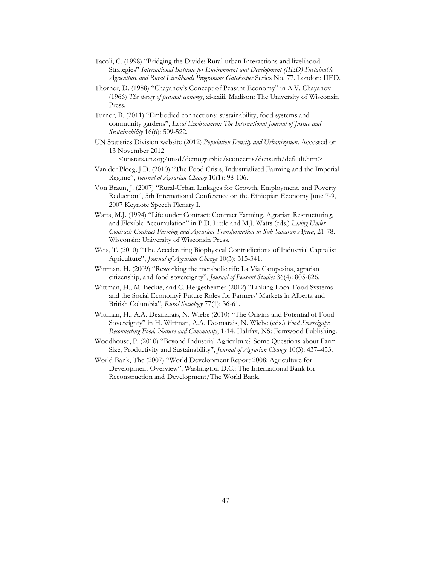- Tacoli, C. (1998) "Bridging the Divide: Rural-urban Interactions and livelihood Strategies" *International Institute for Environment and Development (IIED) Sustainable Agriculture and Rural Livelihoods Programme Gatekeeper* Series No. 77. London: IIED.
- Thorner, D. (1988) "Chayanov's Concept of Peasant Economy" in A.V. Chayanov (1966) *The theory of peasant economy*, xi-xxiii. Madison: The University of Wisconsin Press.
- Turner, B. (2011) "Embodied connections: sustainability, food systems and community gardens", *Local Environment: The International Journal of Justice and Sustainability* 16(6): 509-522.
- UN Statistics Division website (2012) *Population Density and Urbanization*. Accessed on 13 November 2012

<unstats.un.org/unsd/demographic/sconcerns/densurb/default.htm>

- Van der Ploeg, J.D. (2010) "The Food Crisis, Industrialized Farming and the Imperial Regime", *Journal of Agrarian Change* 10(1): 98-106.
- Von Braun, J. (2007) "Rural-Urban Linkages for Growth, Employment, and Poverty Reduction", 5th International Conference on the Ethiopian Economy June 7-9, 2007 Keynote Speech Plenary I.
- Watts, M.J. (1994) "Life under Contract: Contract Farming, Agrarian Restructuring, and Flexible Accumulation" in P.D. Little and M.J. Watts (eds.) *Living Under Contract: Contract Farming and Agrarian Transformation in Sub-Saharan Africa*, 21-78. Wisconsin: University of Wisconsin Press.
- Weis, T. (2010) "The Accelerating Biophysical Contradictions of Industrial Capitalist Agriculture", *Journal of Agrarian Change* 10(3): 315-341.
- Wittman, H. (2009) "Reworking the metabolic rift: La Via Campesina, agrarian citizenship, and food sovereignty", *Journal of Peasant Studies* 36(4): 805-826.
- Wittman, H., M. Beckie, and C. Hergesheimer (2012) "Linking Local Food Systems and the Social Economy? Future Roles for Farmers' Markets in Alberta and British Columbia", *Rural Sociology* 77(1): 36-61.
- Wittman, H., A.A. Desmarais, N. Wiebe (2010) "The Origins and Potential of Food Sovereignty" in H. Wittman, A.A. Desmarais, N. Wiebe (eds.) *Food Sovereignty: Reconnecting Food, Nature and Community*, 1-14. Halifax, NS: Fernwood Publishing.
- Woodhouse, P. (2010) "Beyond Industrial Agriculture? Some Questions about Farm Size, Productivity and Sustainability", *Journal of Agrarian Change* 10(3): 437–453.
- World Bank, The (2007) "World Development Report 2008: Agriculture for Development Overview", Washington D.C.: The International Bank for Reconstruction and Development/The World Bank.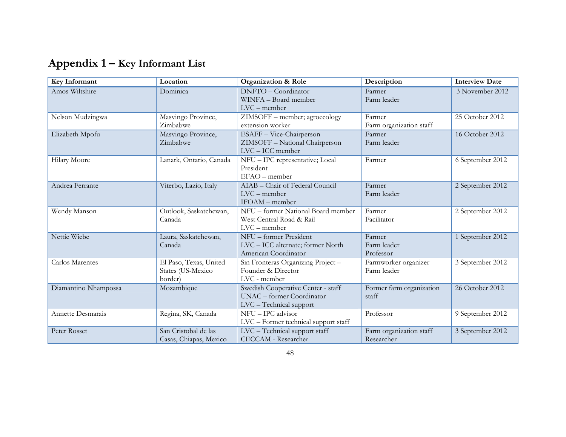| Appendix 1 - Key Informant List |  |  |  |
|---------------------------------|--|--|--|
|---------------------------------|--|--|--|

| Key Informant        | Location                                               | <b>Organization &amp; Role</b>                                                             | Description                           | <b>Interview Date</b> |
|----------------------|--------------------------------------------------------|--------------------------------------------------------------------------------------------|---------------------------------------|-----------------------|
| Amos Wiltshire       | Dominica                                               | DNFTO - Coordinator<br>WINFA - Board member<br>$LVC$ – member                              | Farmer<br>Farm leader                 | 3 November 2012       |
| Nelson Mudzingwa     | Masvingo Province,<br>Zimbabwe                         | ZIMSOFF - member; agroecology<br>extension worker                                          | Farmer<br>Farm organization staff     | 25 October 2012       |
| Elizabeth Mpofu      | Masvingo Province,<br>Zimbabwe                         | ESAFF - Vice-Chairperson<br>ZIMSOFF - National Chairperson<br>LVC - ICC member             | Farmer<br>Farm leader                 | 16 October 2012       |
| Hilary Moore         | Lanark, Ontario, Canada                                | NFU - IPC representative; Local<br>President<br>$EFAO$ – member                            | Farmer                                | 6 September 2012      |
| Andrea Ferrante      | Viterbo, Lazio, Italy                                  | AIAB - Chair of Federal Council<br>$LVC$ – member<br>IFOAM - member                        | Farmer<br>Farm leader                 | 2 September 2012      |
| Wendy Manson         | Outlook, Saskatchewan,<br>Canada                       | NFU - former National Board member<br>West Central Road & Rail<br>$LVC$ – member           | Farmer<br>Facilitator                 | 2 September 2012      |
| Nettie Wiebe         | Laura, Saskatchewan,<br>Canada                         | NFU - former President<br>LVC - ICC alternate; former North<br>American Coordinator        | Farmer<br>Farm leader<br>Professor    | 1 September 2012      |
| Carlos Marentes      | El Paso, Texas, United<br>States (US-Mexico<br>border) | Sin Fronteras Organizing Project -<br>Founder & Director<br>LVC - member                   | Farmworker organizer<br>Farm leader   | 3 September 2012      |
| Diamantino Nhampossa | Mozambique                                             | Swedish Cooperative Center - staff<br>UNAC - former Coordinator<br>LVC - Technical support | Former farm organization<br>staff     | 26 October 2012       |
| Annette Desmarais    | Regina, SK, Canada                                     | NFU - IPC advisor<br>LVC - Former technical support staff                                  | Professor                             | 9 September 2012      |
| Peter Rosset         | San Cristobal de las<br>Casas, Chiapas, Mexico         | LVC - Technical support staff<br><b>CECCAM - Researcher</b>                                | Farm organization staff<br>Researcher | 3 September 2012      |

48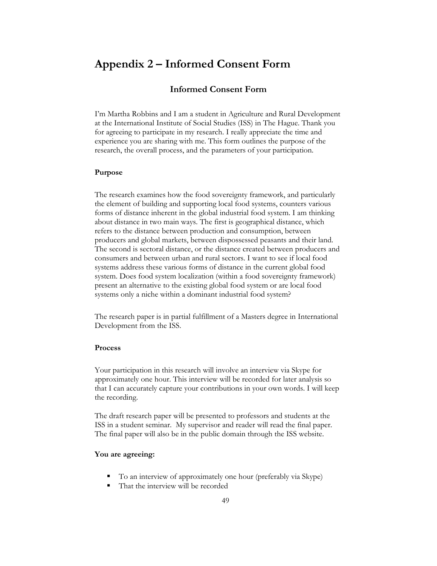## **Appendix 2 – Informed Consent Form**

## **Informed Consent Form**

I'm Martha Robbins and I am a student in Agriculture and Rural Development at the International Institute of Social Studies (ISS) in The Hague. Thank you for agreeing to participate in my research. I really appreciate the time and experience you are sharing with me. This form outlines the purpose of the research, the overall process, and the parameters of your participation.

#### **Purpose**

The research examines how the food sovereignty framework, and particularly the element of building and supporting local food systems, counters various forms of distance inherent in the global industrial food system. I am thinking about distance in two main ways. The first is geographical distance, which refers to the distance between production and consumption, between producers and global markets, between dispossessed peasants and their land. The second is sectoral distance, or the distance created between producers and consumers and between urban and rural sectors. I want to see if local food systems address these various forms of distance in the current global food system. Does food system localization (within a food sovereignty framework) present an alternative to the existing global food system or are local food systems only a niche within a dominant industrial food system?

The research paper is in partial fulfillment of a Masters degree in International Development from the ISS.

#### **Process**

Your participation in this research will involve an interview via Skype for approximately one hour. This interview will be recorded for later analysis so that I can accurately capture your contributions in your own words. I will keep the recording.

The draft research paper will be presented to professors and students at the ISS in a student seminar. My supervisor and reader will read the final paper. The final paper will also be in the public domain through the ISS website.

#### **You are agreeing:**

- To an interview of approximately one hour (preferably via Skype)
- That the interview will be recorded